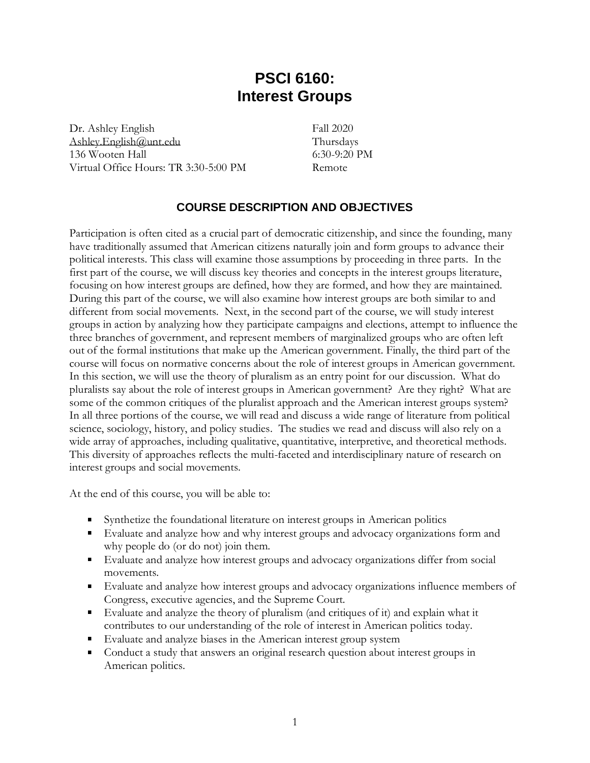# **PSCI 6160: Interest Groups**

Dr. Ashley English [Ashley.English@unt.edu](mailto:Ashley.English@unt.edu) 136 Wooten Hall Virtual Office Hours: TR 3:30-5:00 PM

Fall 2020 Thursdays 6:30-9:20 PM Remote

# **COURSE DESCRIPTION AND OBJECTIVES**

Participation is often cited as a crucial part of democratic citizenship, and since the founding, many have traditionally assumed that American citizens naturally join and form groups to advance their political interests. This class will examine those assumptions by proceeding in three parts. In the first part of the course, we will discuss key theories and concepts in the interest groups literature, focusing on how interest groups are defined, how they are formed, and how they are maintained. During this part of the course, we will also examine how interest groups are both similar to and different from social movements. Next, in the second part of the course, we will study interest groups in action by analyzing how they participate campaigns and elections, attempt to influence the three branches of government, and represent members of marginalized groups who are often left out of the formal institutions that make up the American government. Finally, the third part of the course will focus on normative concerns about the role of interest groups in American government. In this section, we will use the theory of pluralism as an entry point for our discussion. What do pluralists say about the role of interest groups in American government? Are they right? What are some of the common critiques of the pluralist approach and the American interest groups system? In all three portions of the course, we will read and discuss a wide range of literature from political science, sociology, history, and policy studies. The studies we read and discuss will also rely on a wide array of approaches, including qualitative, quantitative, interpretive, and theoretical methods. This diversity of approaches reflects the multi-faceted and interdisciplinary nature of research on interest groups and social movements.

At the end of this course, you will be able to:

- Synthetize the foundational literature on interest groups in American politics
- Evaluate and analyze how and why interest groups and advocacy organizations form and why people do (or do not) join them.
- Evaluate and analyze how interest groups and advocacy organizations differ from social movements.
- Evaluate and analyze how interest groups and advocacy organizations influence members of Congress, executive agencies, and the Supreme Court.
- Evaluate and analyze the theory of pluralism (and critiques of it) and explain what it contributes to our understanding of the role of interest in American politics today.
- Evaluate and analyze biases in the American interest group system
- Conduct a study that answers an original research question about interest groups in American politics.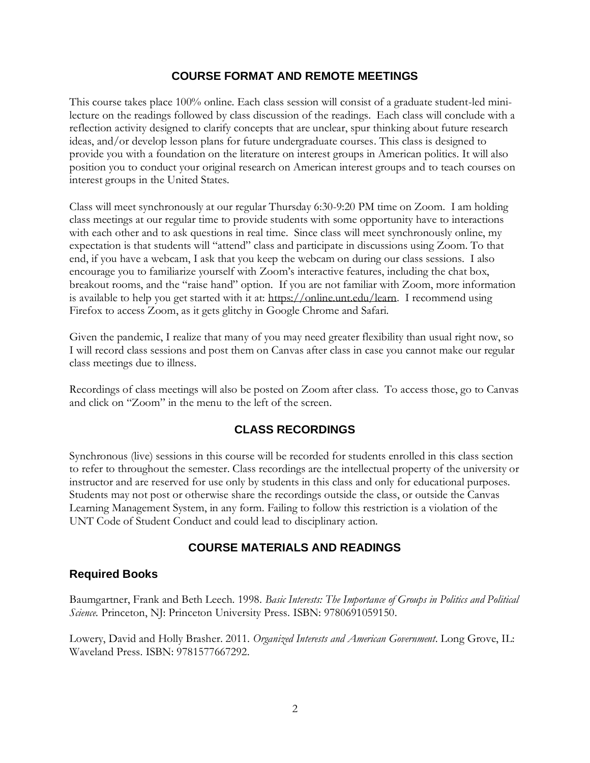#### **COURSE FORMAT AND REMOTE MEETINGS**

This course takes place 100% online. Each class session will consist of a graduate student-led minilecture on the readings followed by class discussion of the readings. Each class will conclude with a reflection activity designed to clarify concepts that are unclear, spur thinking about future research ideas, and/or develop lesson plans for future undergraduate courses. This class is designed to provide you with a foundation on the literature on interest groups in American politics. It will also position you to conduct your original research on American interest groups and to teach courses on interest groups in the United States.

Class will meet synchronously at our regular Thursday 6:30-9:20 PM time on Zoom. I am holding class meetings at our regular time to provide students with some opportunity have to interactions with each other and to ask questions in real time. Since class will meet synchronously online, my expectation is that students will "attend" class and participate in discussions using Zoom. To that end, if you have a webcam, I ask that you keep the webcam on during our class sessions. I also encourage you to familiarize yourself with Zoom's interactive features, including the chat box, breakout rooms, and the "raise hand" option. If you are not familiar with Zoom, more information is available to help you get started with it at: [https://online.unt.edu/learn.](https://online.unt.edu/learn) I recommend using Firefox to access Zoom, as it gets glitchy in Google Chrome and Safari.

Given the pandemic, I realize that many of you may need greater flexibility than usual right now, so I will record class sessions and post them on Canvas after class in case you cannot make our regular class meetings due to illness.

Recordings of class meetings will also be posted on Zoom after class. To access those, go to Canvas and click on "Zoom" in the menu to the left of the screen.

#### **CLASS RECORDINGS**

Synchronous (live) sessions in this course will be recorded for students enrolled in this class section to refer to throughout the semester. Class recordings are the intellectual property of the university or instructor and are reserved for use only by students in this class and only for educational purposes. Students may not post or otherwise share the recordings outside the class, or outside the Canvas Learning Management System, in any form. Failing to follow this restriction is a violation of the UNT Code of Student Conduct and could lead to disciplinary action.

#### **COURSE MATERIALS AND READINGS**

#### **Required Books**

Baumgartner, Frank and Beth Leech. 1998. *Basic Interests: The Importance of Groups in Politics and Political Science.* Princeton, NJ: Princeton University Press. ISBN: 9780691059150.

Lowery, David and Holly Brasher. 2011. *Organized Interests and American Government*. Long Grove, IL: Waveland Press. ISBN: 9781577667292.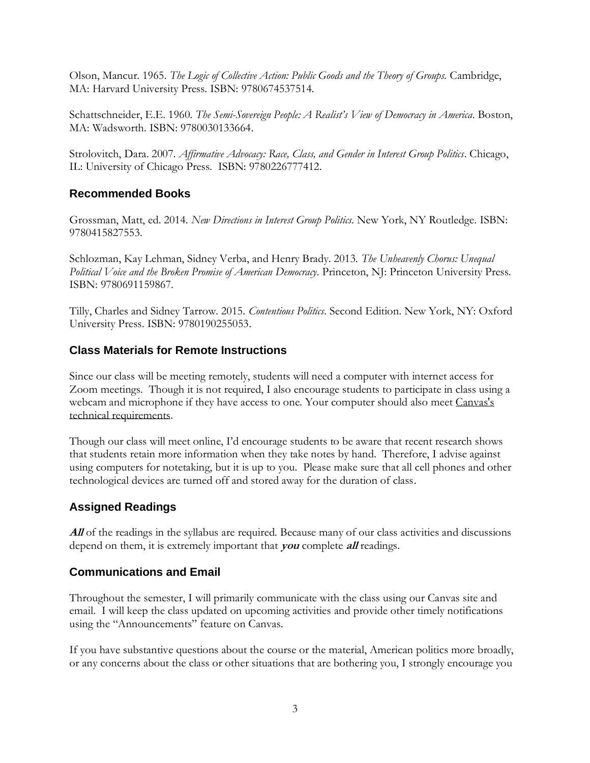Olson, Mancur. 1965. *The Logic of Collective Action: Public Goods and the Theory of Groups.* Cambridge, MA: Harvard University Press. ISBN: 9780674537514.

Schattschneider, E.E. 1960. *The Semi-Sovereign People: A Realist's View of Democracy in America*. Boston, MA: Wadsworth. ISBN: 9780030133664.

Strolovitch, Dara. 2007. *Affirmative Advocacy: Race, Class, and Gender in Interest Group Politics*. Chicago, IL: University of Chicago Press. ISBN: 9780226777412.

#### **Recommended Books**

Grossman, Matt, ed. 2014. *New Directions in Interest Group Politics*. New York, NY Routledge. ISBN: 9780415827553.

Schlozman, Kay Lehman, Sidney Verba, and Henry Brady. 2013. *The Unheavenly Chorus: Unequal Political Voice and the Broken Promise of American Democracy*. Princeton, NJ: Princeton University Press. ISBN: 9780691159867.

Tilly, Charles and Sidney Tarrow. 2015. *Contentious Politics*. Second Edition. New York, NY: Oxford University Press. ISBN: 9780190255053.

### **Class Materials for Remote Instructions**

Since our class will be meeting remotely, students will need a computer with internet access for Zoom meetings. Though it is not required, I also encourage students to participate in class using a webcam and microphone if they have access to one. Your computer should also mee[t Canvas's](https://clear.unt.edu/supported-technologies/canvas/requirements)  [technical requirements.](https://clear.unt.edu/supported-technologies/canvas/requirements)

Though our class will meet online, I'd encourage students to be aware that recent research shows that students retain more information when they take notes by hand. Therefore, I advise against using computers for notetaking, but it is up to you. Please make sure that all cell phones and other technological devices are turned off and stored away for the duration of class.

# **Assigned Readings**

All of the readings in the syllabus are required. Because many of our class activities and discussions depend on them, it is extremely important that **you** complete **all** readings.

#### **Communications and Email**

Throughout the semester, I will primarily communicate with the class using our Canvas site and email. I will keep the class updated on upcoming activities and provide other timely notifications using the "Announcements" feature on Canvas.

If you have substantive questions about the course or the material, American politics more broadly, or any concerns about the class or other situations that are bothering you, I strongly encourage you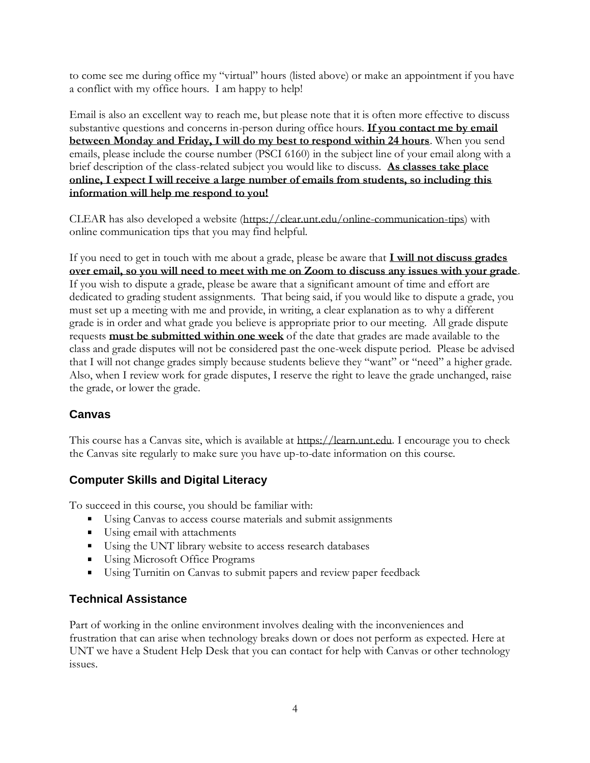to come see me during office my "virtual" hours (listed above) or make an appointment if you have a conflict with my office hours. I am happy to help!

Email is also an excellent way to reach me, but please note that it is often more effective to discuss substantive questions and concerns in-person during office hours. **If you contact me by email between Monday and Friday, I will do my best to respond within 24 hours**. When you send emails, please include the course number (PSCI 6160) in the subject line of your email along with a brief description of the class-related subject you would like to discuss. **As classes take place online, I expect I will receive a large number of emails from students, so including this information will help me respond to you!** 

CLEAR has also developed a website [\(https://clear.unt.edu/online-communication-tips\)](https://clear.unt.edu/online-communication-tips) with online communication tips that you may find helpful.

If you need to get in touch with me about a grade, please be aware that **I will not discuss grades over email, so you will need to meet with me on Zoom to discuss any issues with your grade**. If you wish to dispute a grade, please be aware that a significant amount of time and effort are dedicated to grading student assignments. That being said, if you would like to dispute a grade, you must set up a meeting with me and provide, in writing, a clear explanation as to why a different grade is in order and what grade you believe is appropriate prior to our meeting. All grade dispute requests **must be submitted within one week** of the date that grades are made available to the class and grade disputes will not be considered past the one-week dispute period. Please be advised that I will not change grades simply because students believe they "want" or "need" a higher grade. Also, when I review work for grade disputes, I reserve the right to leave the grade unchanged, raise the grade, or lower the grade.

# **Canvas**

This course has a Canvas site, which is available at [https://learn.unt.edu.](https://learn.unt.edu/) I encourage you to check the Canvas site regularly to make sure you have up-to-date information on this course.

# **Computer Skills and Digital Literacy**

To succeed in this course, you should be familiar with:

- **Using Canvas to access course materials and submit assignments**
- Using email with attachments
- Using the UNT library website to access research databases
- Using Microsoft Office Programs
- Using Turnitin on Canvas to submit papers and review paper feedback

# **Technical Assistance**

Part of working in the online environment involves dealing with the inconveniences and frustration that can arise when technology breaks down or does not perform as expected. Here at UNT we have a Student Help Desk that you can contact for help with Canvas or other technology issues.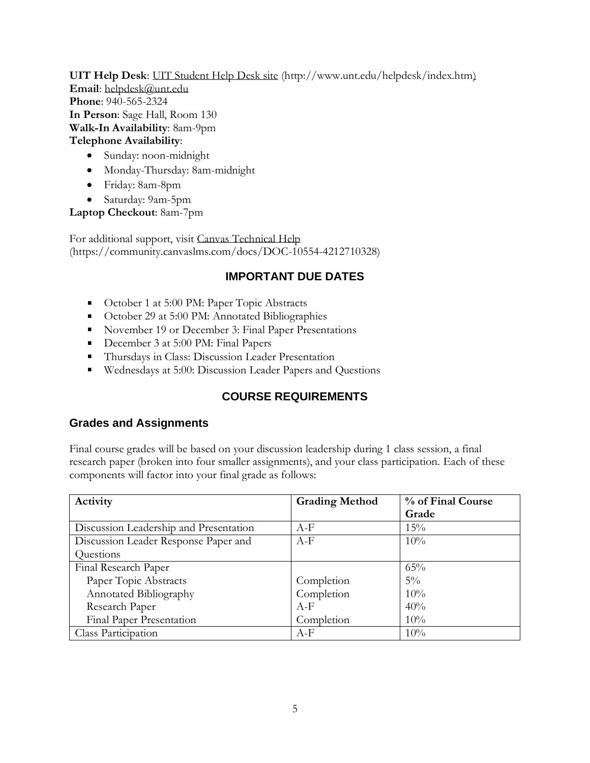**UIT Help Desk**: [UIT Student Help Desk site](http://www.unt.edu/helpdesk/index.htm) (http://www.unt.edu/helpdesk/index.htm) **Email**: [helpdesk@unt.edu](mailto:helpdesk@unt.edu)  **Phone**: 940-565-2324 **In Person**: Sage Hall, Room 130 **Walk-In Availability**: 8am-9pm **Telephone Availability**:

- Sunday: noon-midnight
- Monday-Thursday: 8am-midnight
- Friday: 8am-8pm
- Saturday: 9am-5pm

**Laptop Checkout**: 8am-7pm

For additional support, visit [Canvas Technical Help](https://community.canvaslms.com/docs/DOC-10554-4212710328) (https://community.canvaslms.com/docs/DOC-10554-4212710328)

# **IMPORTANT DUE DATES**

- October 1 at 5:00 PM: Paper Topic Abstracts
- **•** October 29 at 5:00 PM: Annotated Bibliographies
- November 19 or December 3: Final Paper Presentations
- December 3 at 5:00 PM: Final Papers
- **Thursdays in Class: Discussion Leader Presentation**
- Wednesdays at 5:00: Discussion Leader Papers and Questions

# **COURSE REQUIREMENTS**

#### **Grades and Assignments**

Final course grades will be based on your discussion leadership during 1 class session, a final research paper (broken into four smaller assignments), and your class participation. Each of these components will factor into your final grade as follows:

| Activity                               | <b>Grading Method</b> | % of Final Course |
|----------------------------------------|-----------------------|-------------------|
|                                        |                       | Grade             |
| Discussion Leadership and Presentation | A-F                   | 15%               |
| Discussion Leader Response Paper and   | $A-F$                 | 10%               |
| Questions                              |                       |                   |
| Final Research Paper                   |                       | 65%               |
| Paper Topic Abstracts                  | Completion            | $5\%$             |
| Annotated Bibliography                 | Completion            | 10%               |
| Research Paper                         | $A-F$                 | 40%               |
| <b>Final Paper Presentation</b>        | Completion            | 10%               |
| Class Participation                    | $A-F$                 | 10%               |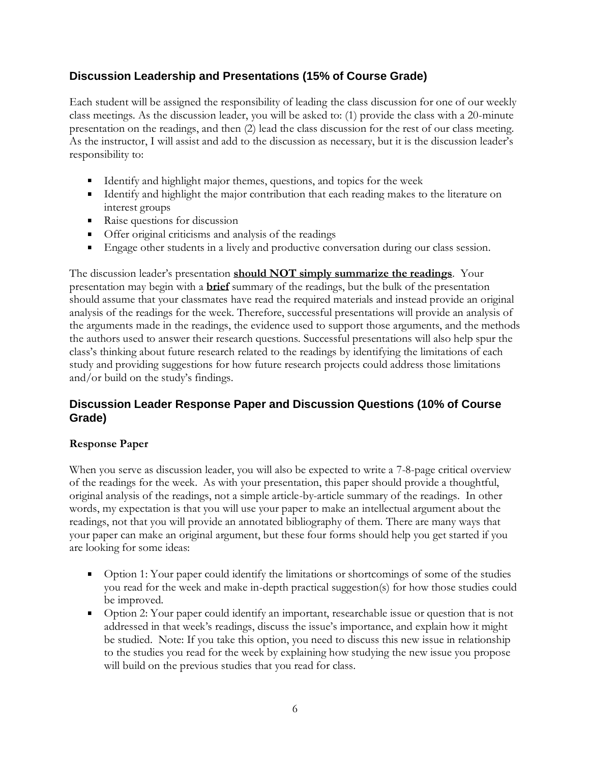# **Discussion Leadership and Presentations (15% of Course Grade)**

Each student will be assigned the responsibility of leading the class discussion for one of our weekly class meetings. As the discussion leader, you will be asked to: (1) provide the class with a 20-minute presentation on the readings, and then (2) lead the class discussion for the rest of our class meeting. As the instructor, I will assist and add to the discussion as necessary, but it is the discussion leader's responsibility to:

- Identify and highlight major themes, questions, and topics for the week
- Identify and highlight the major contribution that each reading makes to the literature on interest groups
- Raise questions for discussion
- Offer original criticisms and analysis of the readings
- **Engage other students in a lively and productive conversation during our class session.**

The discussion leader's presentation **should NOT simply summarize the readings**. Your presentation may begin with a **brief** summary of the readings, but the bulk of the presentation should assume that your classmates have read the required materials and instead provide an original analysis of the readings for the week. Therefore, successful presentations will provide an analysis of the arguments made in the readings, the evidence used to support those arguments, and the methods the authors used to answer their research questions. Successful presentations will also help spur the class's thinking about future research related to the readings by identifying the limitations of each study and providing suggestions for how future research projects could address those limitations and/or build on the study's findings.

# **Discussion Leader Response Paper and Discussion Questions (10% of Course Grade)**

#### **Response Paper**

When you serve as discussion leader, you will also be expected to write a 7-8-page critical overview of the readings for the week. As with your presentation, this paper should provide a thoughtful, original analysis of the readings, not a simple article-by-article summary of the readings. In other words, my expectation is that you will use your paper to make an intellectual argument about the readings, not that you will provide an annotated bibliography of them. There are many ways that your paper can make an original argument, but these four forms should help you get started if you are looking for some ideas:

- Option 1: Your paper could identify the limitations or shortcomings of some of the studies you read for the week and make in-depth practical suggestion(s) for how those studies could be improved.
- Option 2: Your paper could identify an important, researchable issue or question that is not addressed in that week's readings, discuss the issue's importance, and explain how it might be studied. Note: If you take this option, you need to discuss this new issue in relationship to the studies you read for the week by explaining how studying the new issue you propose will build on the previous studies that you read for class.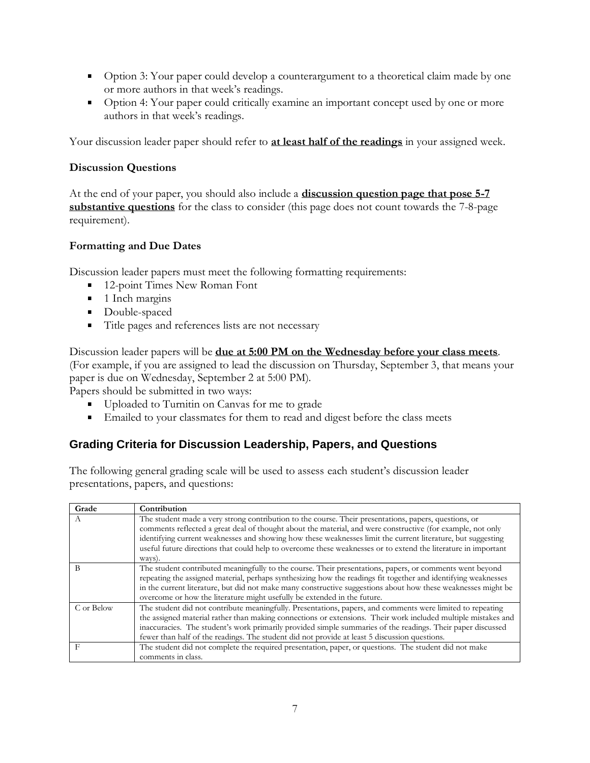- Option 3: Your paper could develop a counterargument to a theoretical claim made by one or more authors in that week's readings.
- Option 4: Your paper could critically examine an important concept used by one or more authors in that week's readings.

Your discussion leader paper should refer to **at least half of the readings** in your assigned week.

#### **Discussion Questions**

At the end of your paper, you should also include a **discussion question page that pose 5-7 substantive questions** for the class to consider (this page does not count towards the 7-8-page requirement).

#### **Formatting and Due Dates**

Discussion leader papers must meet the following formatting requirements:

- 12-point Times New Roman Font
- <sup>1</sup> 1 Inch margins
- Double-spaced
- Title pages and references lists are not necessary

Discussion leader papers will be **due at 5:00 PM on the Wednesday before your class meets**. (For example, if you are assigned to lead the discussion on Thursday, September 3, that means your paper is due on Wednesday, September 2 at 5:00 PM).

Papers should be submitted in two ways:

- Uploaded to Turnitin on Canvas for me to grade
- Emailed to your classmates for them to read and digest before the class meets

# **Grading Criteria for Discussion Leadership, Papers, and Questions**

The following general grading scale will be used to assess each student's discussion leader presentations, papers, and questions:

| Grade      | Contribution                                                                                                                                                                                                                                                                                                                                                                                                                                                     |
|------------|------------------------------------------------------------------------------------------------------------------------------------------------------------------------------------------------------------------------------------------------------------------------------------------------------------------------------------------------------------------------------------------------------------------------------------------------------------------|
| A          | The student made a very strong contribution to the course. Their presentations, papers, questions, or<br>comments reflected a great deal of thought about the material, and were constructive (for example, not only<br>identifying current weaknesses and showing how these weaknesses limit the current literature, but suggesting<br>useful future directions that could help to overcome these weaknesses or to extend the literature in important<br>ways). |
| B          | The student contributed meaningfully to the course. Their presentations, papers, or comments went beyond<br>repeating the assigned material, perhaps synthesizing how the readings fit together and identifying weaknesses<br>in the current literature, but did not make many constructive suggestions about how these weaknesses might be<br>overcome or how the literature might usefully be extended in the future.                                          |
| C or Below | The student did not contribute meaningfully. Presentations, papers, and comments were limited to repeating<br>the assigned material rather than making connections or extensions. Their work included multiple mistakes and<br>inaccuracies. The student's work primarily provided simple summaries of the readings. Their paper discussed<br>fewer than half of the readings. The student did not provide at least 5 discussion questions.                      |
| F          | The student did not complete the required presentation, paper, or questions. The student did not make<br>comments in class.                                                                                                                                                                                                                                                                                                                                      |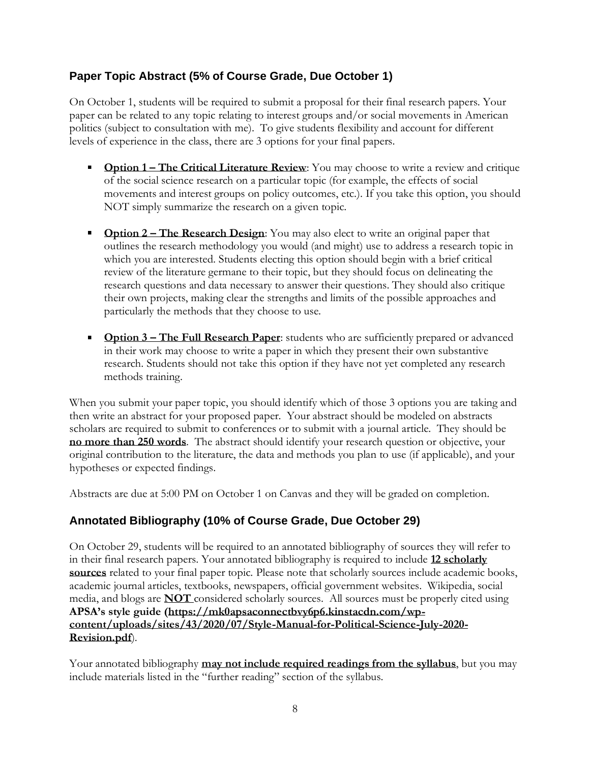# **Paper Topic Abstract (5% of Course Grade, Due October 1)**

On October 1, students will be required to submit a proposal for their final research papers. Your paper can be related to any topic relating to interest groups and/or social movements in American politics (subject to consultation with me). To give students flexibility and account for different levels of experience in the class, there are 3 options for your final papers.

- **Option 1 The Critical Literature Review:** You may choose to write a review and critique of the social science research on a particular topic (for example, the effects of social movements and interest groups on policy outcomes, etc.). If you take this option, you should NOT simply summarize the research on a given topic.
- **Option 2 The Research Design:** You may also elect to write an original paper that outlines the research methodology you would (and might) use to address a research topic in which you are interested. Students electing this option should begin with a brief critical review of the literature germane to their topic, but they should focus on delineating the research questions and data necessary to answer their questions. They should also critique their own projects, making clear the strengths and limits of the possible approaches and particularly the methods that they choose to use.
- **•** Option 3 The Full Research Paper: students who are sufficiently prepared or advanced in their work may choose to write a paper in which they present their own substantive research. Students should not take this option if they have not yet completed any research methods training.

When you submit your paper topic, you should identify which of those 3 options you are taking and then write an abstract for your proposed paper. Your abstract should be modeled on abstracts scholars are required to submit to conferences or to submit with a journal article. They should be **no more than 250 words**. The abstract should identify your research question or objective, your original contribution to the literature, the data and methods you plan to use (if applicable), and your hypotheses or expected findings.

Abstracts are due at 5:00 PM on October 1 on Canvas and they will be graded on completion.

# **Annotated Bibliography (10% of Course Grade, Due October 29)**

On October 29, students will be required to an annotated bibliography of sources they will refer to in their final research papers. Your annotated bibliography is required to include **12 scholarly sources** related to your final paper topic. Please note that scholarly sources include academic books, academic journal articles, textbooks, newspapers, official government websites. Wikipedia, social media, and blogs are **NOT** considered scholarly sources. All sources must be properly cited using **APSA's style guide ([https://mk0apsaconnectbvy6p6.kinstacdn.com/wp](https://mk0apsaconnectbvy6p6.kinstacdn.com/wp-content/uploads/sites/43/2020/07/Style-Manual-for-Political-Science-July-2020-Revision.pdf)[content/uploads/sites/43/2020/07/Style-Manual-for-Political-Science-July-2020-](https://mk0apsaconnectbvy6p6.kinstacdn.com/wp-content/uploads/sites/43/2020/07/Style-Manual-for-Political-Science-July-2020-Revision.pdf) [Revision.pdf](https://mk0apsaconnectbvy6p6.kinstacdn.com/wp-content/uploads/sites/43/2020/07/Style-Manual-for-Political-Science-July-2020-Revision.pdf)**).

Your annotated bibliography **may not include required readings from the syllabus**, but you may include materials listed in the "further reading" section of the syllabus.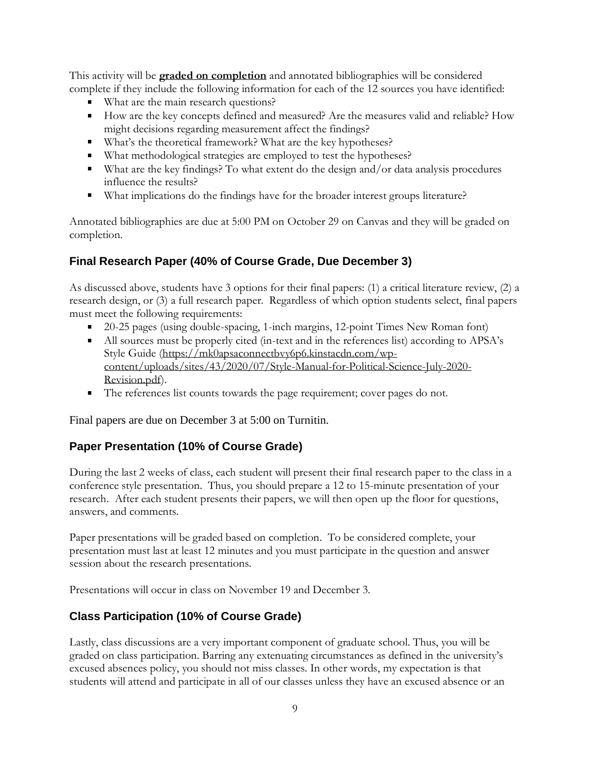This activity will be **graded on completion** and annotated bibliographies will be considered complete if they include the following information for each of the 12 sources you have identified:

- What are the main research questions?
- How are the key concepts defined and measured? Are the measures valid and reliable? How might decisions regarding measurement affect the findings?
- What's the theoretical framework? What are the key hypotheses?
- What methodological strategies are employed to test the hypotheses?
- What are the key findings? To what extent do the design and/or data analysis procedures influence the results?
- What implications do the findings have for the broader interest groups literature?

Annotated bibliographies are due at 5:00 PM on October 29 on Canvas and they will be graded on completion.

# **Final Research Paper (40% of Course Grade, Due December 3)**

As discussed above, students have 3 options for their final papers: (1) a critical literature review, (2) a research design, or (3) a full research paper. Regardless of which option students select, final papers must meet the following requirements:

- <sup>20-25</sup> pages (using double-spacing, 1-inch margins, 12-point Times New Roman font)
- All sources must be properly cited (in-text and in the references list) according to APSA's Style Guide [\(https://mk0apsaconnectbvy6p6.kinstacdn.com/wp](https://mk0apsaconnectbvy6p6.kinstacdn.com/wp-content/uploads/sites/43/2020/07/Style-Manual-for-Political-Science-July-2020-Revision.pdf)[content/uploads/sites/43/2020/07/Style-Manual-for-Political-Science-July-2020-](https://mk0apsaconnectbvy6p6.kinstacdn.com/wp-content/uploads/sites/43/2020/07/Style-Manual-for-Political-Science-July-2020-Revision.pdf) [Revision.pdf\)](https://mk0apsaconnectbvy6p6.kinstacdn.com/wp-content/uploads/sites/43/2020/07/Style-Manual-for-Political-Science-July-2020-Revision.pdf).
- The references list counts towards the page requirement; cover pages do not.

Final papers are due on December 3 at 5:00 on Turnitin.

#### **Paper Presentation (10% of Course Grade)**

During the last 2 weeks of class, each student will present their final research paper to the class in a conference style presentation. Thus, you should prepare a 12 to 15-minute presentation of your research. After each student presents their papers, we will then open up the floor for questions, answers, and comments.

Paper presentations will be graded based on completion. To be considered complete, your presentation must last at least 12 minutes and you must participate in the question and answer session about the research presentations.

Presentations will occur in class on November 19 and December 3.

# **Class Participation (10% of Course Grade)**

Lastly, class discussions are a very important component of graduate school. Thus, you will be graded on class participation. Barring any extenuating circumstances as defined in the university's excused absences policy, you should not miss classes. In other words, my expectation is that students will attend and participate in all of our classes unless they have an excused absence or an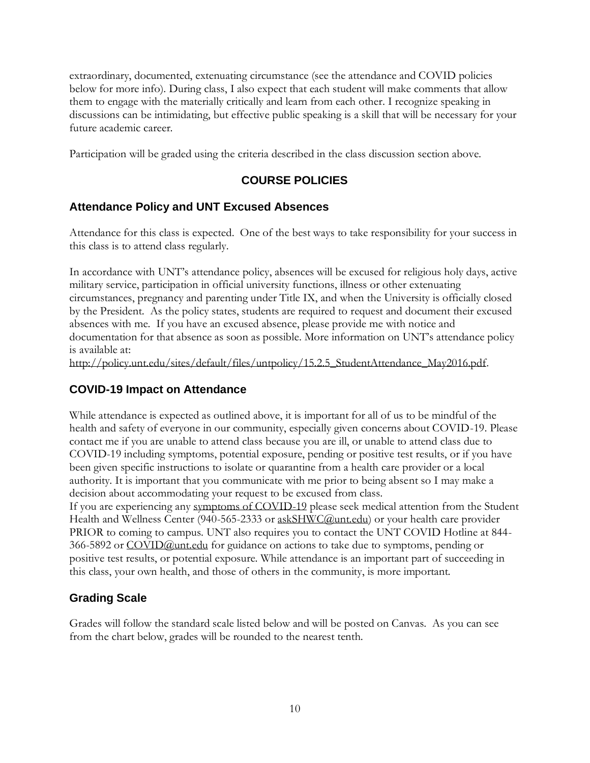extraordinary, documented, extenuating circumstance (see the attendance and COVID policies below for more info). During class, I also expect that each student will make comments that allow them to engage with the materially critically and learn from each other. I recognize speaking in discussions can be intimidating, but effective public speaking is a skill that will be necessary for your future academic career.

Participation will be graded using the criteria described in the class discussion section above.

# **COURSE POLICIES**

### **Attendance Policy and UNT Excused Absences**

Attendance for this class is expected. One of the best ways to take responsibility for your success in this class is to attend class regularly.

In accordance with UNT's attendance policy, absences will be excused for religious holy days, active military service, participation in official university functions, illness or other extenuating circumstances, pregnancy and parenting under Title IX, and when the University is officially closed by the President. As the policy states, students are required to request and document their excused absences with me. If you have an excused absence, please provide me with notice and documentation for that absence as soon as possible. More information on UNT's attendance policy is available at:

[http://policy.unt.edu/sites/default/files/untpolicy/15.2.5\\_StudentAttendance\\_May2016.pdf.](http://policy.unt.edu/sites/default/files/untpolicy/15.2.5_StudentAttendance_May2016.pdf)

#### **COVID-19 Impact on Attendance**

While attendance is expected as outlined above, it is important for all of us to be mindful of the health and safety of everyone in our community, especially given concerns about COVID-19. Please contact me if you are unable to attend class because you are ill, or unable to attend class due to COVID-19 including symptoms, potential exposure, pending or positive test results, or if you have been given specific instructions to isolate or quarantine from a health care provider or a local authority. It is important that you communicate with me prior to being absent so I may make a decision about accommodating your request to be excused from class.

If you are experiencing any [symptoms of COVID-19](https://www.cdc.gov/coronavirus/2019-ncov/symptoms-testing/symptoms.html) please seek medical attention from the Student Health and Wellness Center (940-565-2333 or [askSHWC@unt.edu\)](mailto:askSHWC@unt.edu) or your health care provider PRIOR to coming to campus. UNT also requires you to contact the UNT COVID Hotline at 844- 366-5892 or [COVID@unt.edu](mailto:COVID@unt.edu) for guidance on actions to take due to symptoms, pending or positive test results, or potential exposure. While attendance is an important part of succeeding in this class, your own health, and those of others in the community, is more important.

# **Grading Scale**

Grades will follow the standard scale listed below and will be posted on Canvas. As you can see from the chart below, grades will be rounded to the nearest tenth.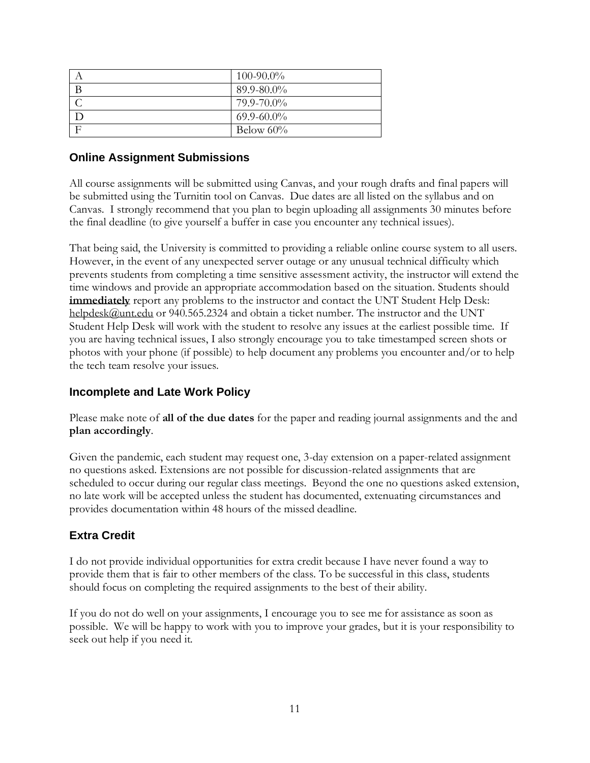| $100 - 90.0\%$  |
|-----------------|
| 89.9-80.0%      |
| 79.9-70.0%      |
| $69.9 - 60.0\%$ |
| Below $60\%$    |

#### **Online Assignment Submissions**

All course assignments will be submitted using Canvas, and your rough drafts and final papers will be submitted using the Turnitin tool on Canvas. Due dates are all listed on the syllabus and on Canvas. I strongly recommend that you plan to begin uploading all assignments 30 minutes before the final deadline (to give yourself a buffer in case you encounter any technical issues).

That being said, the University is committed to providing a reliable online course system to all users. However, in the event of any unexpected server outage or any unusual technical difficulty which prevents students from completing a time sensitive assessment activity, the instructor will extend the time windows and provide an appropriate accommodation based on the situation. Students should **immediately** report any problems to the instructor and contact the UNT Student Help Desk: [helpdesk@unt.edu](mailto:helpdesk@unt.edu) or 940.565.2324 and obtain a ticket number. The instructor and the UNT Student Help Desk will work with the student to resolve any issues at the earliest possible time. If you are having technical issues, I also strongly encourage you to take timestamped screen shots or photos with your phone (if possible) to help document any problems you encounter and/or to help the tech team resolve your issues.

#### **Incomplete and Late Work Policy**

Please make note of **all of the due dates** for the paper and reading journal assignments and the and **plan accordingly**.

Given the pandemic, each student may request one, 3-day extension on a paper-related assignment no questions asked. Extensions are not possible for discussion-related assignments that are scheduled to occur during our regular class meetings. Beyond the one no questions asked extension, no late work will be accepted unless the student has documented, extenuating circumstances and provides documentation within 48 hours of the missed deadline.

#### **Extra Credit**

I do not provide individual opportunities for extra credit because I have never found a way to provide them that is fair to other members of the class. To be successful in this class, students should focus on completing the required assignments to the best of their ability.

If you do not do well on your assignments, I encourage you to see me for assistance as soon as possible. We will be happy to work with you to improve your grades, but it is your responsibility to seek out help if you need it.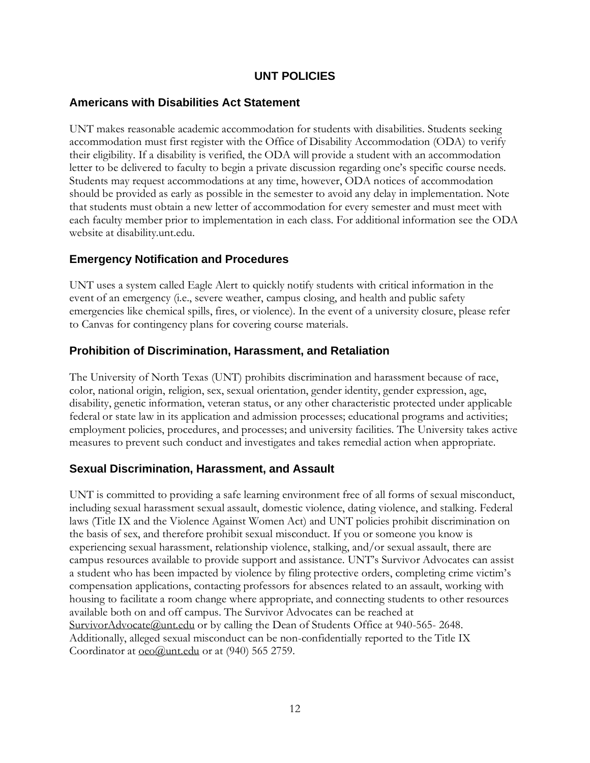### **UNT POLICIES**

#### **Americans with Disabilities Act Statement**

UNT makes reasonable academic accommodation for students with disabilities. Students seeking accommodation must first register with the Office of Disability Accommodation (ODA) to verify their eligibility. If a disability is verified, the ODA will provide a student with an accommodation letter to be delivered to faculty to begin a private discussion regarding one's specific course needs. Students may request accommodations at any time, however, ODA notices of accommodation should be provided as early as possible in the semester to avoid any delay in implementation. Note that students must obtain a new letter of accommodation for every semester and must meet with each faculty member prior to implementation in each class. For additional information see the ODA website at disability.unt.edu.

### **Emergency Notification and Procedures**

UNT uses a system called Eagle Alert to quickly notify students with critical information in the event of an emergency (i.e., severe weather, campus closing, and health and public safety emergencies like chemical spills, fires, or violence). In the event of a university closure, please refer to Canvas for contingency plans for covering course materials.

#### **Prohibition of Discrimination, Harassment, and Retaliation**

The University of North Texas (UNT) prohibits discrimination and harassment because of race, color, national origin, religion, sex, sexual orientation, gender identity, gender expression, age, disability, genetic information, veteran status, or any other characteristic protected under applicable federal or state law in its application and admission processes; educational programs and activities; employment policies, procedures, and processes; and university facilities. The University takes active measures to prevent such conduct and investigates and takes remedial action when appropriate.

# **Sexual Discrimination, Harassment, and Assault**

UNT is committed to providing a safe learning environment free of all forms of sexual misconduct, including sexual harassment sexual assault, domestic violence, dating violence, and stalking. Federal laws (Title IX and the Violence Against Women Act) and UNT policies prohibit discrimination on the basis of sex, and therefore prohibit sexual misconduct. If you or someone you know is experiencing sexual harassment, relationship violence, stalking, and/or sexual assault, there are campus resources available to provide support and assistance. UNT's Survivor Advocates can assist a student who has been impacted by violence by filing protective orders, completing crime victim's compensation applications, contacting professors for absences related to an assault, working with housing to facilitate a room change where appropriate, and connecting students to other resources available both on and off campus. The Survivor Advocates can be reached at [SurvivorAdvocate@unt.edu](file:///C:/Users/jdl0126/AppData/Local/Temp/OneNote/16.0/NT/0/SurvivorAdvocate@unt.edu) or by calling the Dean of Students Office at 940-565- 2648. Additionally, alleged sexual misconduct can be non-confidentially reported to the Title IX Coordinator at [oeo@unt.edu](file:///C:/Users/jdl0126/AppData/Local/Temp/OneNote/16.0/NT/0/oeo@unt.edu) or at (940) 565 2759.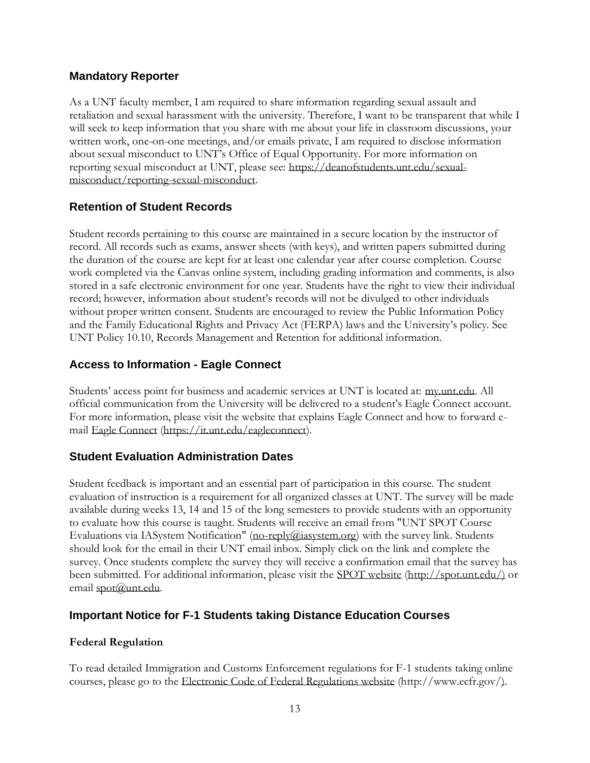### **Mandatory Reporter**

As a UNT faculty member, I am required to share information regarding sexual assault and retaliation and sexual harassment with the university. Therefore, I want to be transparent that while I will seek to keep information that you share with me about your life in classroom discussions, your written work, one-on-one meetings, and/or emails private, I am required to disclose information about sexual misconduct to UNT's Office of Equal Opportunity. For more information on reporting sexual misconduct at UNT, please see: [https://deanofstudents.unt.edu/sexual](https://deanofstudents.unt.edu/sexual-misconduct/reporting-sexual-misconduct)[misconduct/reporting-sexual-misconduct.](https://deanofstudents.unt.edu/sexual-misconduct/reporting-sexual-misconduct)

# **Retention of Student Records**

Student records pertaining to this course are maintained in a secure location by the instructor of record. All records such as exams, answer sheets (with keys), and written papers submitted during the duration of the course are kept for at least one calendar year after course completion. Course work completed via the Canvas online system, including grading information and comments, is also stored in a safe electronic environment for one year. Students have the right to view their individual record; however, information about student's records will not be divulged to other individuals without proper written consent. Students are encouraged to review the Public Information Policy and the Family Educational Rights and Privacy Act (FERPA) laws and the University's policy. See UNT Policy 10.10, Records Management and Retention for additional information.

# **Access to Information - Eagle Connect**

Students' access point for business and academic services at UNT is located at: [my.unt.edu.](https://my.unt.edu/) All official communication from the University will be delivered to a student's Eagle Connect account. For more information, please visit the website that explains Eagle Connect and how to forward email [Eagle Connect](https://it.unt.edu/eagleconnect) [\(https://it.unt.edu/eagleconnect\)](https://it.unt.edu/eagleconnect).

# **Student Evaluation Administration Dates**

Student feedback is important and an essential part of participation in this course. The student evaluation of instruction is a requirement for all organized classes at UNT. The survey will be made available during weeks 13, 14 and 15 of the long semesters to provide students with an opportunity to evaluate how this course is taught. Students will receive an email from "UNT SPOT Course Evaluations via IASystem Notification" [\(no-reply@iasystem.org\)](file:///C:/Users/jdl0126/AppData/Local/Temp/OneNote/16.0/NT/0/no-reply@iasystem.org) with the survey link. Students should look for the email in their UNT email inbox. Simply click on the link and complete the survey. Once students complete the survey they will receive a confirmation email that the survey has been submitted. For additional information, please visit the [SPOT website](http://spot.unt.edu/) (http://spot.unt.edu/) or email [spot@unt.edu.](file:///C:/Users/jdl0126/AppData/Local/Temp/OneNote/16.0/NT/0/spot@unt.edu)

# **Important Notice for F-1 Students taking Distance Education Courses**

#### **Federal Regulation**

To read detailed Immigration and Customs Enforcement regulations for F-1 students taking online courses, please go to the [Electronic Code of Federal Regulations website](http://www.ecfr.gov/) (http://www.ecfr.gov/).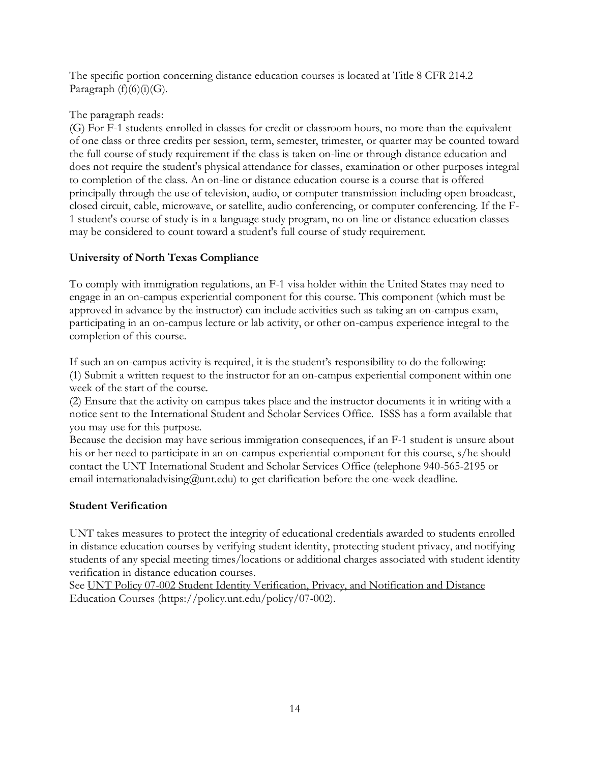The specific portion concerning distance education courses is located at Title 8 CFR 214.2 Paragraph  $(f)(6)(i)(G)$ .

#### The paragraph reads:

(G) For F-1 students enrolled in classes for credit or classroom hours, no more than the equivalent of one class or three credits per session, term, semester, trimester, or quarter may be counted toward the full course of study requirement if the class is taken on-line or through distance education and does not require the student's physical attendance for classes, examination or other purposes integral to completion of the class. An on-line or distance education course is a course that is offered principally through the use of television, audio, or computer transmission including open broadcast, closed circuit, cable, microwave, or satellite, audio conferencing, or computer conferencing. If the F-1 student's course of study is in a language study program, no on-line or distance education classes may be considered to count toward a student's full course of study requirement.

### **University of North Texas Compliance**

To comply with immigration regulations, an F-1 visa holder within the United States may need to engage in an on-campus experiential component for this course. This component (which must be approved in advance by the instructor) can include activities such as taking an on-campus exam, participating in an on-campus lecture or lab activity, or other on-campus experience integral to the completion of this course.

If such an on-campus activity is required, it is the student's responsibility to do the following:

(1) Submit a written request to the instructor for an on-campus experiential component within one week of the start of the course.

(2) Ensure that the activity on campus takes place and the instructor documents it in writing with a notice sent to the International Student and Scholar Services Office. ISSS has a form available that you may use for this purpose.

Because the decision may have serious immigration consequences, if an F-1 student is unsure about his or her need to participate in an on-campus experiential component for this course, s/he should contact the UNT International Student and Scholar Services Office (telephone 940-565-2195 or email [internationaladvising@unt.edu\)](mailto:internationaladvising@unt.edu) to get clarification before the one-week deadline.

#### **Student Verification**

UNT takes measures to protect the integrity of educational credentials awarded to students enrolled in distance education courses by verifying student identity, protecting student privacy, and notifying students of any special meeting times/locations or additional charges associated with student identity verification in distance education courses.

See UNT Policy 07-002 Student [Identity Verification, Privacy, and Notification and Distance](https://policy.unt.edu/policy/07-002)  [Education Courses](https://policy.unt.edu/policy/07-002) (https://policy.unt.edu/policy/07-002).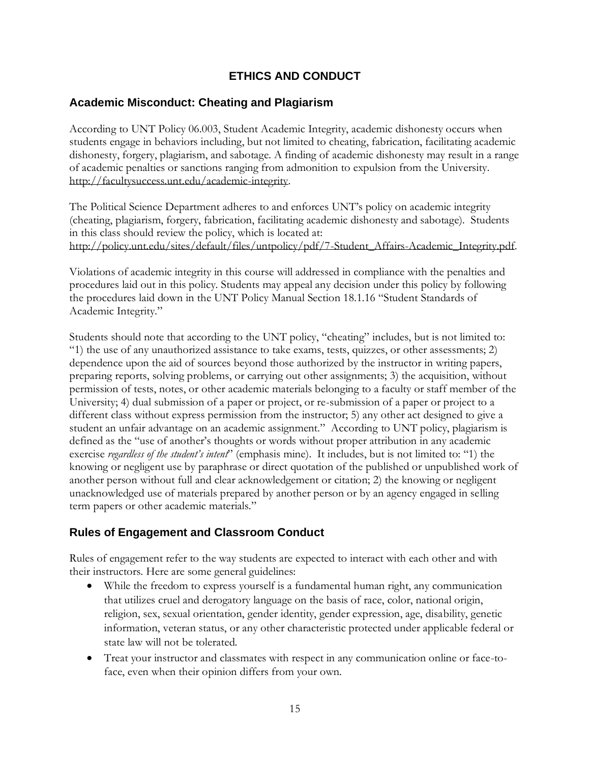# **ETHICS AND CONDUCT**

### **Academic Misconduct: Cheating and Plagiarism**

According to UNT Policy 06.003, Student Academic Integrity, academic dishonesty occurs when students engage in behaviors including, but not limited to cheating, fabrication, facilitating academic dishonesty, forgery, plagiarism, and sabotage. A finding of academic dishonesty may result in a range of academic penalties or sanctions ranging from admonition to expulsion from the University. [http://facultysuccess.unt.edu/academic-integrity.](http://facultysuccess.unt.edu/academic-integrity)

The Political Science Department adheres to and enforces UNT's policy on academic integrity (cheating, plagiarism, forgery, fabrication, facilitating academic dishonesty and sabotage). Students in this class should review the policy, which is located at: [http://policy.unt.edu/sites/default/files/untpolicy/pdf/7-Student\\_Affairs-Academic\\_Integrity.pdf.](http://policy.unt.edu/sites/default/files/untpolicy/pdf/7-Student_Affairs-Academic_Integrity.pdf)

Violations of academic integrity in this course will addressed in compliance with the penalties and procedures laid out in this policy. Students may appeal any decision under this policy by following the procedures laid down in the UNT Policy Manual Section 18.1.16 "Student Standards of Academic Integrity."

Students should note that according to the UNT policy, "cheating" includes, but is not limited to: "1) the use of any unauthorized assistance to take exams, tests, quizzes, or other assessments; 2) dependence upon the aid of sources beyond those authorized by the instructor in writing papers, preparing reports, solving problems, or carrying out other assignments; 3) the acquisition, without permission of tests, notes, or other academic materials belonging to a faculty or staff member of the University; 4) dual submission of a paper or project, or re-submission of a paper or project to a different class without express permission from the instructor; 5) any other act designed to give a student an unfair advantage on an academic assignment." According to UNT policy, plagiarism is defined as the "use of another's thoughts or words without proper attribution in any academic exercise *regardless of the student's intent*" (emphasis mine). It includes, but is not limited to: "1) the knowing or negligent use by paraphrase or direct quotation of the published or unpublished work of another person without full and clear acknowledgement or citation; 2) the knowing or negligent unacknowledged use of materials prepared by another person or by an agency engaged in selling term papers or other academic materials."

# **Rules of Engagement and Classroom Conduct**

Rules of engagement refer to the way students are expected to interact with each other and with their instructors. Here are some general guidelines:

- While the freedom to express yourself is a fundamental human right, any communication that utilizes cruel and derogatory language on the basis of race, color, national origin, religion, sex, sexual orientation, gender identity, gender expression, age, disability, genetic information, veteran status, or any other characteristic protected under applicable federal or state law will not be tolerated.
- Treat your instructor and classmates with respect in any communication online or face-toface, even when their opinion differs from your own.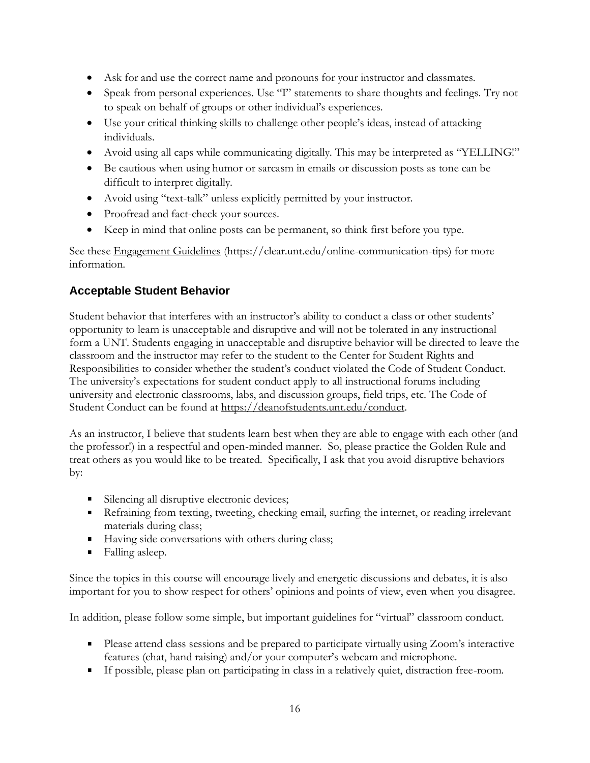- Ask for and use the correct name and pronouns for your instructor and classmates.
- Speak from personal experiences. Use "I" statements to share thoughts and feelings. Try not to speak on behalf of groups or other individual's experiences.
- Use your critical thinking skills to challenge other people's ideas, instead of attacking individuals.
- Avoid using all caps while communicating digitally. This may be interpreted as "YELLING!"
- Be cautious when using humor or sarcasm in emails or discussion posts as tone can be difficult to interpret digitally.
- Avoid using "text-talk" unless explicitly permitted by your instructor.
- Proofread and fact-check your sources.
- Keep in mind that online posts can be permanent, so think first before you type.

See thes[e Engagement Guidelines](https://clear.unt.edu/online-communication-tips) (https://clear.unt.edu/online-communication-tips) for more information.

# **Acceptable Student Behavior**

Student behavior that interferes with an instructor's ability to conduct a class or other students' opportunity to learn is unacceptable and disruptive and will not be tolerated in any instructional form a UNT. Students engaging in unacceptable and disruptive behavior will be directed to leave the classroom and the instructor may refer to the student to the Center for Student Rights and Responsibilities to consider whether the student's conduct violated the Code of Student Conduct. The university's expectations for student conduct apply to all instructional forums including university and electronic classrooms, labs, and discussion groups, field trips, etc. The Code of Student Conduct can be found at [https://deanofstudents.unt.edu/conduct.](https://deanofstudents.unt.edu/conduct)

As an instructor, I believe that students learn best when they are able to engage with each other (and the professor!) in a respectful and open-minded manner. So, please practice the Golden Rule and treat others as you would like to be treated. Specifically, I ask that you avoid disruptive behaviors by:

- Silencing all disruptive electronic devices;
- Refraining from texting, tweeting, checking email, surfing the internet, or reading irrelevant materials during class;
- Having side conversations with others during class;
- Falling asleep.

Since the topics in this course will encourage lively and energetic discussions and debates, it is also important for you to show respect for others' opinions and points of view, even when you disagree.

In addition, please follow some simple, but important guidelines for "virtual" classroom conduct.

- Please attend class sessions and be prepared to participate virtually using Zoom's interactive features (chat, hand raising) and/or your computer's webcam and microphone.
- If possible, please plan on participating in class in a relatively quiet, distraction free-room.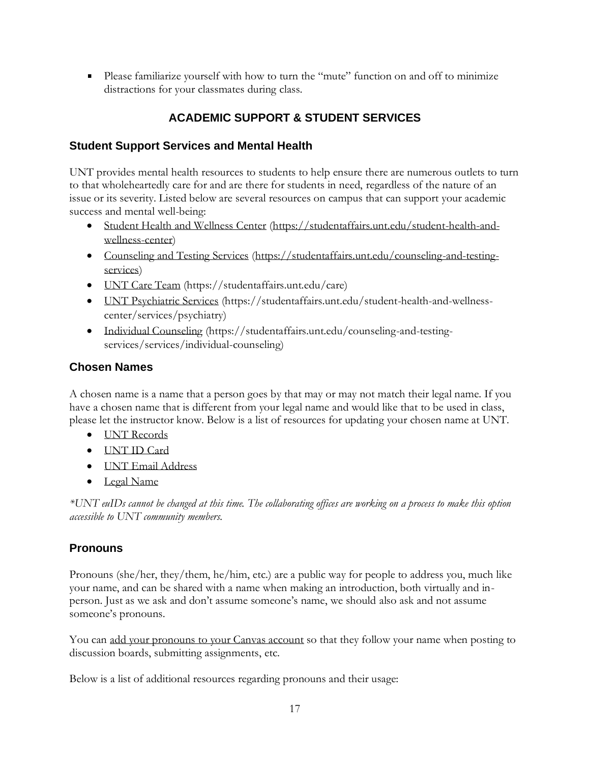Please familiarize yourself with how to turn the "mute" function on and off to minimize distractions for your classmates during class.

# **ACADEMIC SUPPORT & STUDENT SERVICES**

# **Student Support Services and Mental Health**

UNT provides mental health resources to students to help ensure there are numerous outlets to turn to that wholeheartedly care for and are there for students in need, regardless of the nature of an issue or its severity. Listed below are several resources on campus that can support your academic success and mental well-being:

- [Student Health and Wellness Center](https://studentaffairs.unt.edu/student-health-and-wellness-center) (https://studentaffairs.unt.edu/student-health-andwellness-center)
- [Counseling and Testing Services](https://studentaffairs.unt.edu/counseling-and-testing-services) (https://studentaffairs.unt.edu/counseling-and-testingservices)
- [UNT Care Team](https://studentaffairs.unt.edu/care) (https://studentaffairs.unt.edu/care)
- [UNT Psychiatric Services](https://studentaffairs.unt.edu/student-health-and-wellness-center/services/psychiatry) (https://studentaffairs.unt.edu/student-health-and-wellnesscenter/services/psychiatry)
- [Individual Counseling](https://studentaffairs.unt.edu/counseling-and-testing-services/services/individual-counseling) (https://studentaffairs.unt.edu/counseling-and-testingservices/services/individual-counseling)

# **Chosen Names**

A chosen name is a name that a person goes by that may or may not match their legal name. If you have a chosen name that is different from your legal name and would like that to be used in class, please let the instructor know. Below is a list of resources for updating your chosen name at UNT.

- [UNT Records](https://registrar.unt.edu/transcripts-and-records/update-your-personal-information)
- [UNT ID Card](https://sfs.unt.edu/idcards)
- [UNT Email Address](https://sso.unt.edu/idp/profile/SAML2/Redirect/SSO;jsessionid=E4DCA43DF85E3B74B3E496CAB99D8FC6?execution=e1s1)
- [Legal Name](https://studentaffairs.unt.edu/student-legal-services)

*\*UNT euIDs cannot be changed at this time. The collaborating offices are working on a process to make this option accessible to UNT community members.*

# **Pronouns**

Pronouns (she/her, they/them, he/him, etc.) are a public way for people to address you, much like your name, and can be shared with a name when making an introduction, both virtually and inperson. Just as we ask and don't assume someone's name, we should also ask and not assume someone's pronouns.

You can [add your pronouns to your Canvas account](https://community.canvaslms.com/docs/DOC-18406-42121184808) so that they follow your name when posting to discussion boards, submitting assignments, etc.

Below is a list of additional resources regarding pronouns and their usage: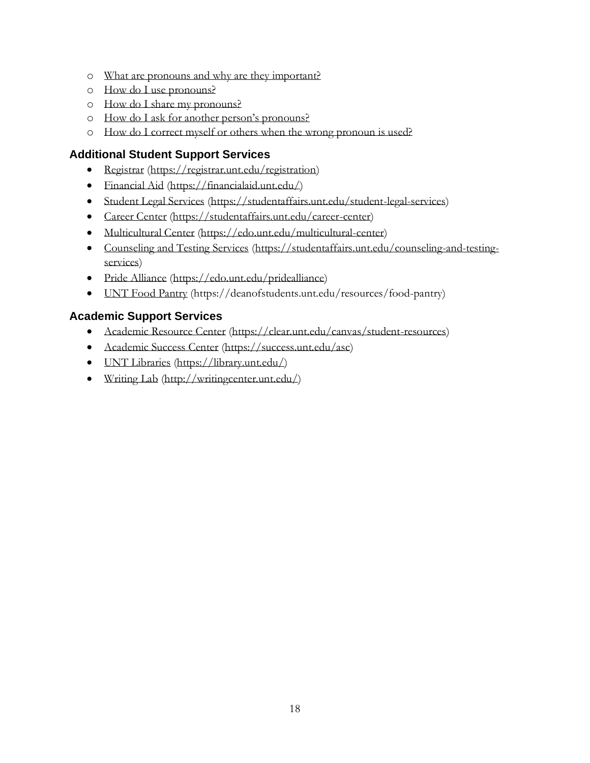- o [What are pronouns and why are they important?](https://www.mypronouns.org/what-and-why)
- o [How do I use pronouns?](https://www.mypronouns.org/how)
- o [How do I share my pronouns?](https://www.mypronouns.org/sharing)
- o [How do I ask for another person's pronouns?](https://www.mypronouns.org/asking)
- o [How do I correct myself or others when the wrong pronoun is used?](https://www.mypronouns.org/mistakes)

# **Additional Student Support Services**

- [Registrar](file:///C:/Users/jdl0126/AppData/Local/Temp/OneNote/16.0/NT/0/Registrar) (https://registrar.unt.edu/registration)
- [Financial Aid](https://financialaid.unt.edu/) (https://financialaid.unt.edu/)
- [Student Legal Services](https://studentaffairs.unt.edu/student-legal-services) (https://studentaffairs.unt.edu/student-legal-services)
- [Career Center](https://studentaffairs.unt.edu/career-center) (https://studentaffairs.unt.edu/career-center)
- [Multicultural Center](https://edo.unt.edu/multicultural-center) (https://edo.unt.edu/multicultural-center)
- [Counseling and Testing Services](https://studentaffairs.unt.edu/counseling-and-testing-services) (https://studentaffairs.unt.edu/counseling-and-testingservices)
- [Pride Alliance](https://edo.unt.edu/pridealliance) (https://edo.unt.edu/pridealliance)
- [UNT Food Pantry](https://deanofstudents.unt.edu/resources/food-pantry) (https://deanofstudents.unt.edu/resources/food-pantry)

### **Academic Support Services**

- [Academic Resource Center](https://clear.unt.edu/canvas/student-resources) (https://clear.unt.edu/canvas/student-resources)
- [Academic Success Center](https://success.unt.edu/asc) (https://success.unt.edu/asc)
- [UNT Libraries](https://library.unt.edu/) (https://library.unt.edu/)
- [Writing Lab](http://writingcenter.unt.edu/) [\(http://writingcenter.unt.edu/\)](http://writingcenter.unt.edu/)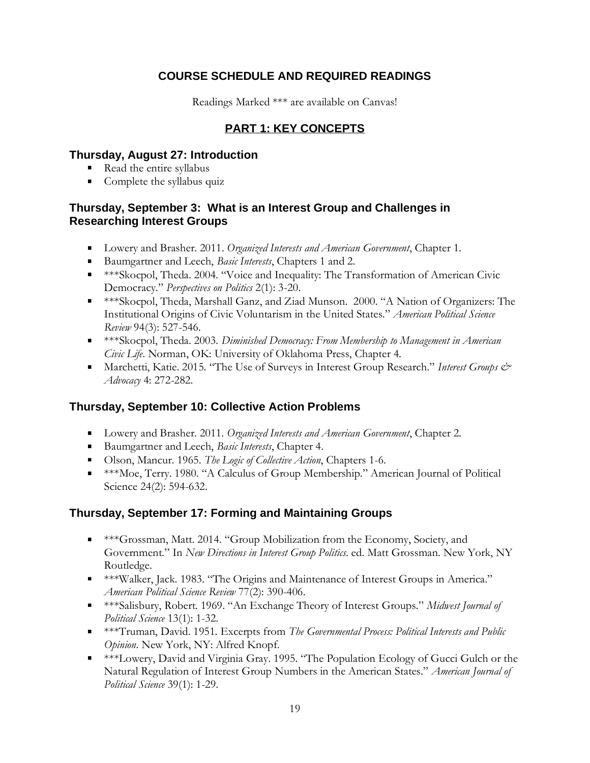# **COURSE SCHEDULE AND REQUIRED READINGS**

Readings Marked \*\*\* are available on Canvas!

# **PART 1: KEY CONCEPTS**

#### **Thursday, August 27: Introduction**

- Read the entire syllabus
- Complete the syllabus quiz

### **Thursday, September 3: What is an Interest Group and Challenges in Researching Interest Groups**

- Lowery and Brasher. 2011. *Organized Interests and American Government*, Chapter 1.
- Baumgartner and Leech, *Basic Interests*, Chapters 1 and 2.
- \*\*\*Skocpol, Theda. 2004. "Voice and Inequality: The Transformation of American Civic Democracy." *Perspectives on Politics* 2(1): 3-20.
- \*\*\*Skocpol, Theda, Marshall Ganz, and Ziad Munson. 2000. "A Nation of Organizers: The Institutional Origins of Civic Voluntarism in the United States." *American Political Science Review* 94(3): 527-546.
- \*\*\*Skocpol, Theda. 2003. *Diminished Democracy: From Membership to Management in American Civic Life*. Norman, OK: University of Oklahoma Press, Chapter 4.
- Marchetti, Katie. 2015. "The Use of Surveys in Interest Group Research." *Interest Groups & Advocacy* 4: 272-282.

# **Thursday, September 10: Collective Action Problems**

- Lowery and Brasher. 2011. *Organized Interests and American Government*, Chapter 2.
- Baumgartner and Leech, *Basic Interests*, Chapter 4.
- Olson, Mancur. 1965. *The Logic of Collective Action*, Chapters 1-6.
- \*\*\*Moe, Terry. 1980. "A Calculus of Group Membership." American Journal of Political Science 24(2): 594-632.

# **Thursday, September 17: Forming and Maintaining Groups**

- \*\*\*Grossman, Matt. 2014. "Group Mobilization from the Economy, Society, and Government." In *New Directions in Interest Group Politics*. ed. Matt Grossman. New York, NY Routledge.
- \*\*\*Walker, Jack. 1983. "The Origins and Maintenance of Interest Groups in America." *American Political Science Review* 77(2): 390-406.
- \*\*\*Salisbury, Robert. 1969. "An Exchange Theory of Interest Groups." *Midwest Journal of Political Science* 13(1): 1-32.
- \*\*\*Truman, David. 1951. Excerpts from *The Governmental Process: Political Interests and Public Opinion*. New York, NY: Alfred Knopf.
- \*\*\*Lowery, David and Virginia Gray. 1995. "The Population Ecology of Gucci Gulch or the Natural Regulation of Interest Group Numbers in the American States." *American Journal of Political Science* 39(1): 1-29.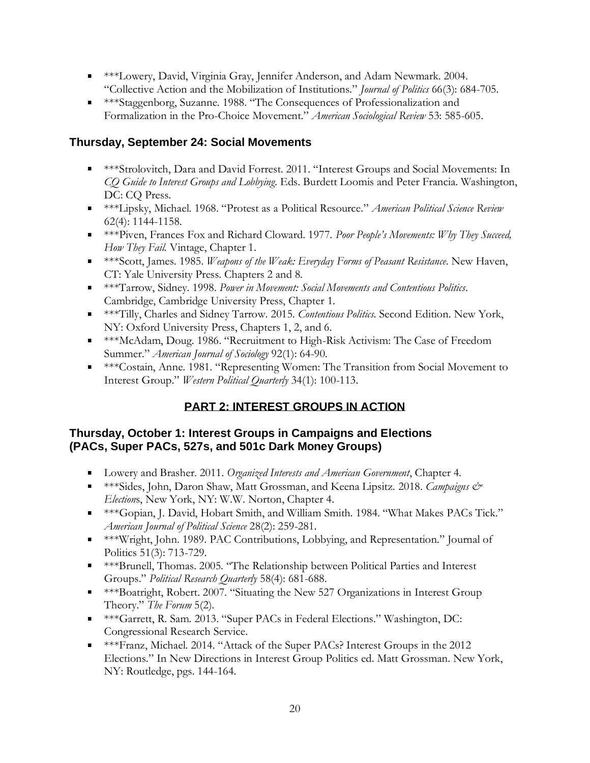- \*\*\*Lowery, David, Virginia Gray, Jennifer Anderson, and Adam Newmark. 2004. "Collective Action and the Mobilization of Institutions." *Journal of Politics* 66(3): 684-705.
- \*\*\*Staggenborg, Suzanne. 1988. "The Consequences of Professionalization and Formalization in the Pro-Choice Movement." *American Sociological Review* 53: 585-605.

# **Thursday, September 24: Social Movements**

- \*\*\*Strolovitch, Dara and David Forrest. 2011. "Interest Groups and Social Movements: In *CQ Guide to Interest Groups and Lobbying*. Eds. Burdett Loomis and Peter Francia. Washington, DC: CQ Press.
- \*\*\*Lipsky, Michael. 1968. "Protest as a Political Resource." *American Political Science Review* 62(4): 1144-1158.
- \*\*\*Piven, Frances Fox and Richard Cloward. 1977. *Poor People's Movements: Why They Succeed, How They Fail.* Vintage, Chapter 1.
- \*\*\*Scott, James. 1985. *Weapons of the Weak: Everyday Forms of Peasant Resistance*. New Haven, CT: Yale University Press. Chapters 2 and 8.
- \*\*\*Tarrow, Sidney. 1998. *Power in Movement: Social Movements and Contentious Politics*. Cambridge, Cambridge University Press, Chapter 1.
- \*\*\*Tilly, Charles and Sidney Tarrow. 2015. *Contentious Politics*. Second Edition. New York, NY: Oxford University Press, Chapters 1, 2, and 6.
- \*\*\*McAdam, Doug. 1986. "Recruitment to High-Risk Activism: The Case of Freedom Summer." *American Journal of Sociology* 92(1): 64-90.
- \*\*\*Costain, Anne. 1981. "Representing Women: The Transition from Social Movement to Interest Group." *Western Political Quarterly* 34(1): 100-113.

# **PART 2: INTEREST GROUPS IN ACTION**

# **Thursday, October 1: Interest Groups in Campaigns and Elections (PACs, Super PACs, 527s, and 501c Dark Money Groups)**

- Lowery and Brasher. 2011. *Organized Interests and American Government*, Chapter 4.
- \*\*\*Sides, John, Daron Shaw, Matt Grossman, and Keena Lipsitz. 2018. *Campaigns & Election*s, New York, NY: W.W. Norton, Chapter 4.
- \*\*\*\*Gopian, J. David, Hobart Smith, and William Smith. 1984. "What Makes PACs Tick." *American Journal of Political Science* 28(2): 259-281.
- \*\*\*Wright, John. 1989. PAC Contributions, Lobbying, and Representation." Journal of Politics 51(3): 713-729.
- \*\*\*Brunell, Thomas. 2005. "The Relationship between Political Parties and Interest Groups." *Political Research Quarterly* 58(4): 681-688.
- \*\*\*Boatright, Robert. 2007. "Situating the New 527 Organizations in Interest Group Theory." *The Forum* 5(2).
- \*\*\*Garrett, R. Sam. 2013. "Super PACs in Federal Elections." Washington, DC: Congressional Research Service.
- \*\*\*Franz, Michael. 2014. "Attack of the Super PACs? Interest Groups in the 2012 Elections." In New Directions in Interest Group Politics ed. Matt Grossman. New York, NY: Routledge, pgs. 144-164.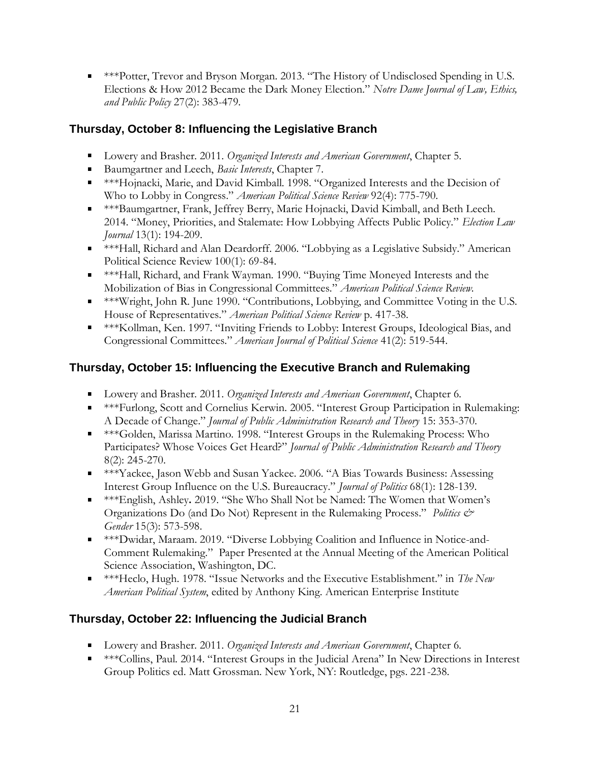\*\*\*Potter, Trevor and Bryson Morgan. 2013. "The History of Undisclosed Spending in U.S. Elections & How 2012 Became the Dark Money Election." *Notre Dame Journal of Law, Ethics, and Public Policy* 27(2): 383-479.

# **Thursday, October 8: Influencing the Legislative Branch**

- Lowery and Brasher. 2011. *Organized Interests and American Government*, Chapter 5.
- Baumgartner and Leech, *Basic Interests*, Chapter 7.
- \*\*\*Hojnacki, Marie, and David Kimball. 1998. "Organized Interests and the Decision of Who to Lobby in Congress." *American Political Science Review* 92(4): 775-790.
- \*\*\*Baumgartner, Frank, Jeffrey Berry, Marie Hojnacki, David Kimball, and Beth Leech. 2014. "Money, Priorities, and Stalemate: How Lobbying Affects Public Policy." *Election Law Journal* 13(1): 194-209.
- \*\*\*Hall, Richard and Alan Deardorff. 2006. "Lobbying as a Legislative Subsidy." American Political Science Review 100(1): 69-84.
- \*\*\*Hall, Richard, and Frank Wayman. 1990. "Buying Time Moneyed Interests and the Mobilization of Bias in Congressional Committees." *American Political Science Review.*
- \*\*\*Wright, John R. June 1990. "Contributions, Lobbying, and Committee Voting in the U.S. House of Representatives." *American Political Science Review* p. 417-38.
- \*\*\*Kollman, Ken. 1997. "Inviting Friends to Lobby: Interest Groups, Ideological Bias, and Congressional Committees." *American Journal of Political Science* 41(2): 519-544.

# **Thursday, October 15: Influencing the Executive Branch and Rulemaking**

- Lowery and Brasher. 2011. *Organized Interests and American Government*, Chapter 6.
- \*\*\*Furlong, Scott and Cornelius Kerwin. 2005. "Interest Group Participation in Rulemaking: A Decade of Change." *Journal of Public Administration Research and Theory* 15: 353-370.
- \*\*\*\*Golden, Marissa Martino. 1998. "Interest Groups in the Rulemaking Process: Who Participates? Whose Voices Get Heard?" *Journal of Public Administration Research and Theory* 8(2): 245-270.
- \*\*\*Yackee, Jason Webb and Susan Yackee. 2006. "A Bias Towards Business: Assessing Interest Group Influence on the U.S. Bureaucracy." *Journal of Politics* 68(1): 128-139.
- \*\*\*English, Ashley**.** 2019. "She Who Shall Not be Named: The Women that Women's Organizations Do (and Do Not) Represent in the Rulemaking Process." *Politics & Gender* 15(3): 573-598.
- \*\*\*Dwidar, Maraam. 2019. "Diverse Lobbying Coalition and Influence in Notice-and-Comment Rulemaking." Paper Presented at the Annual Meeting of the American Political Science Association, Washington, DC.
- \*\*\*Heclo, Hugh. 1978. "Issue Networks and the Executive Establishment." in *The New American Political System*, edited by Anthony King. American Enterprise Institute

# **Thursday, October 22: Influencing the Judicial Branch**

- Lowery and Brasher. 2011. *Organized Interests and American Government*, Chapter 6.
- \*\*\*\*Collins, Paul. 2014. "Interest Groups in the Judicial Arena" In New Directions in Interest Group Politics ed. Matt Grossman. New York, NY: Routledge, pgs. 221-238.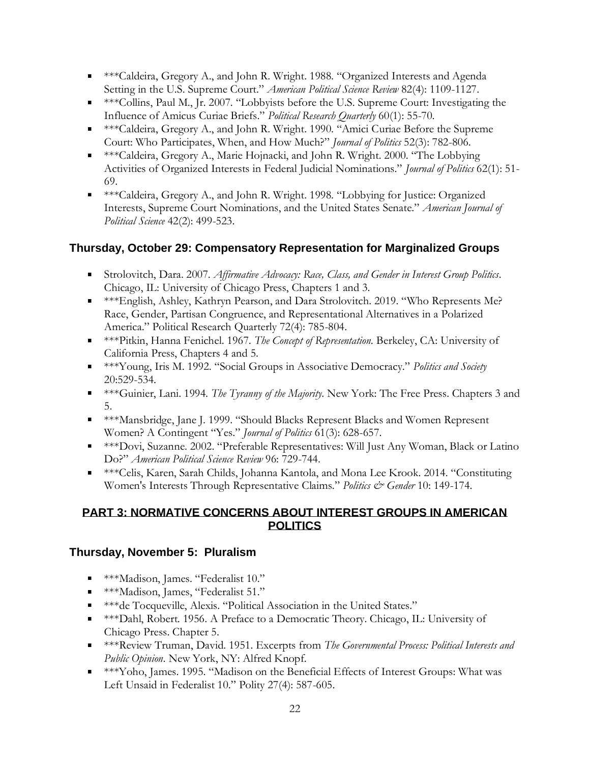- \*\*\*Caldeira, Gregory A., and John R. Wright. 1988. "Organized Interests and Agenda Setting in the U.S. Supreme Court." *American Political Science Review* 82(4): 1109-1127.
- $***$ Collins, Paul M., Jr. 2007. "Lobbyists before the U.S. Supreme Court: Investigating the Influence of Amicus Curiae Briefs." *Political Research Quarterly* 60(1): 55-70.
- \*\*\*Caldeira, Gregory A., and John R. Wright. 1990. "Amici Curiae Before the Supreme Court: Who Participates, When, and How Much?" *Journal of Politics* 52(3): 782-806.
- \*\*\*Caldeira, Gregory A., Marie Hojnacki, and John R. Wright. 2000. "The Lobbying Activities of Organized Interests in Federal Judicial Nominations." *Journal of Politics* 62(1): 51- 69.
- \*\*\*Caldeira, Gregory A., and John R. Wright. 1998. "Lobbying for Justice: Organized Interests, Supreme Court Nominations, and the United States Senate." *American Journal of Political Science* 42(2): 499-523.

# **Thursday, October 29: Compensatory Representation for Marginalized Groups**

- Strolovitch, Dara. 2007. *Affirmative Advocacy: Race, Class, and Gender in Interest Group Politics*. Chicago, IL: University of Chicago Press, Chapters 1 and 3.
- \*\*\*English, Ashley, Kathryn Pearson, and Dara Strolovitch. 2019. "Who Represents Me? Race, Gender, Partisan Congruence, and Representational Alternatives in a Polarized America." Political Research Quarterly 72(4): 785-804.
- \*\*\*Pitkin, Hanna Fenichel. 1967. *The Concept of Representation*. Berkeley, CA: University of California Press, Chapters 4 and 5.
- \*\*\*Young, Iris M. 1992. "Social Groups in Associative Democracy." *Politics and Society*  20:529-534.
- \*\*\*Guinier, Lani. 1994. *The Tyranny of the Majority*. New York: The Free Press. Chapters 3 and 5.
- \*\*\*Mansbridge, Jane J. 1999. "Should Blacks Represent Blacks and Women Represent Women? A Contingent "Yes." *Journal of Politics* 61(3): 628-657.
- \*\*\*Dovi, Suzanne. 2002. "Preferable Representatives: Will Just Any Woman, Black or Latino Do?" *American Political Science Review* 96: 729-744.
- \*\*\*Celis, Karen, Sarah Childs, Johanna Kantola, and Mona Lee Krook. 2014. "Constituting Women's Interests Through Representative Claims." *Politics & Gender* 10: 149-174.

### **PART 3: NORMATIVE CONCERNS ABOUT INTEREST GROUPS IN AMERICAN POLITICS**

# **Thursday, November 5: Pluralism**

- **\*\*\*Madison, James. "Federalist 10."**
- **\*\*\*Madison, James, "Federalist 51."**
- \*\*\*de Tocqueville, Alexis. "Political Association in the United States."
- \*\*\*Dahl, Robert. 1956. A Preface to a Democratic Theory. Chicago, IL: University of Chicago Press. Chapter 5.
- \*\*\*Review Truman, David. 1951. Excerpts from *The Governmental Process: Political Interests and Public Opinion*. New York, NY: Alfred Knopf.
- \*\*\*Yoho, James. 1995. "Madison on the Beneficial Effects of Interest Groups: What was Left Unsaid in Federalist 10." Polity 27(4): 587-605.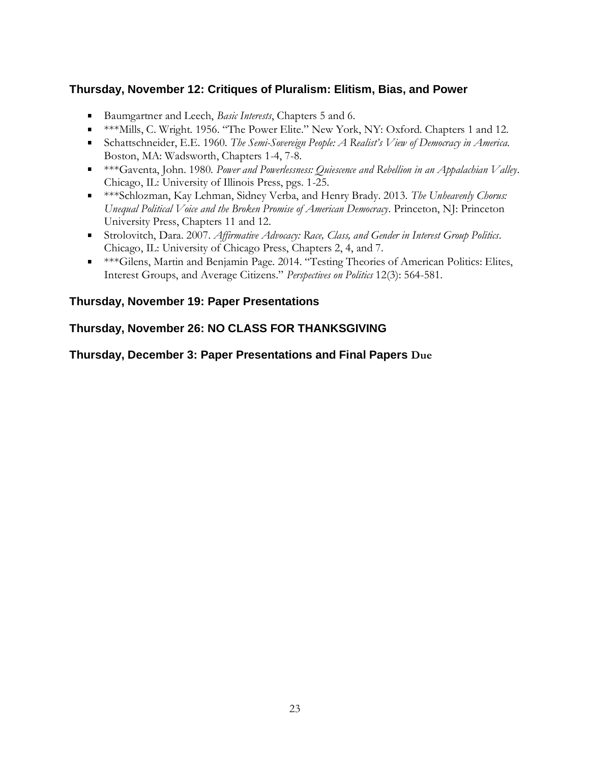# **Thursday, November 12: Critiques of Pluralism: Elitism, Bias, and Power**

- Baumgartner and Leech, *Basic Interests*, Chapters 5 and 6.
- \*\*\*Mills, C. Wright. 1956. "The Power Elite." New York, NY: Oxford. Chapters 1 and 12.
- Schattschneider, E.E. 1960. *The Semi-Sovereign People: A Realist's View of Democracy in America*. Boston, MA: Wadsworth, Chapters 1-4, 7-8.
- \*\*\*Gaventa, John. 1980. *Power and Powerlessness: Quiescence and Rebellion in an Appalachian Valley*. Chicago, IL: University of Illinois Press, pgs. 1-25.
- \*\*\*Schlozman, Kay Lehman, Sidney Verba, and Henry Brady. 2013. *The Unheavenly Chorus: Unequal Political Voice and the Broken Promise of American Democracy*. Princeton, NJ: Princeton University Press, Chapters 11 and 12.
- Strolovitch, Dara. 2007. *Affirmative Advocacy: Race, Class, and Gender in Interest Group Politics*. Chicago, IL: University of Chicago Press, Chapters 2, 4, and 7.
- \*\*\*Gilens, Martin and Benjamin Page. 2014. "Testing Theories of American Politics: Elites, Interest Groups, and Average Citizens." *Perspectives on Politics* 12(3): 564-581.

### **Thursday, November 19: Paper Presentations**

# **Thursday, November 26: NO CLASS FOR THANKSGIVING**

#### **Thursday, December 3: Paper Presentations and Final Papers Due**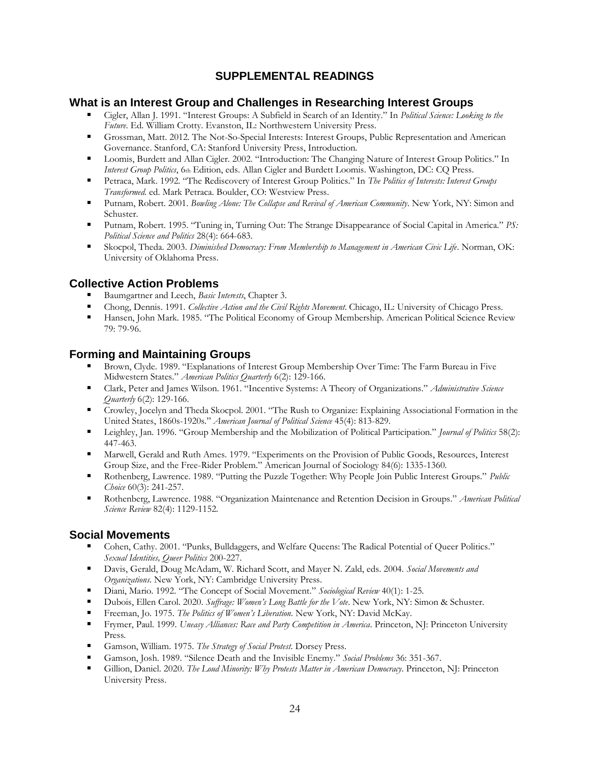### **SUPPLEMENTAL READINGS**

#### **What is an Interest Group and Challenges in Researching Interest Groups**

- Cigler, Allan J. 1991. "Interest Groups: A Subfield in Search of an Identity." In *Political Science: Looking to the Future*. Ed. William Crotty. Evanston, IL: Northwestern University Press.
- Grossman, Matt. 2012. The Not-So-Special Interests: Interest Groups, Public Representation and American Governance. Stanford, CA: Stanford University Press, Introduction.
- Loomis, Burdett and Allan Cigler. 2002. "Introduction: The Changing Nature of Interest Group Politics." In *Interest Group Politics*, 6th Edition, eds. Allan Cigler and Burdett Loomis. Washington, DC: CQ Press.
- Petraca, Mark. 1992. "The Rediscovery of Interest Group Politics." In *The Politics of Interests: Interest Groups Transformed*. ed. Mark Petraca. Boulder, CO: Westview Press.
- Putnam, Robert. 2001. *Bowling Alone: The Collapse and Revival of American Community*. New York, NY: Simon and Schuster.
- $\blacksquare$ Putnam, Robert. 1995. "Tuning in, Turning Out: The Strange Disappearance of Social Capital in America." *PS: Political Science and Politics* 28(4): 664-683.
- Skocpol, Theda. 2003. *Diminished Democracy: From Membership to Management in American Civic Life*. Norman, OK:  $\blacksquare$ University of Oklahoma Press.

#### **Collective Action Problems**

- Baumgartner and Leech, *Basic Interests*, Chapter 3.
- Chong, Dennis. 1991. *Collective Action and the Civil Rights Movement*. Chicago, IL: University of Chicago Press.
- $\blacksquare$ Hansen, John Mark. 1985. "The Political Economy of Group Membership. American Political Science Review 79: 79-96.

#### **Forming and Maintaining Groups**

- Brown, Clyde. 1989. "Explanations of Interest Group Membership Over Time: The Farm Bureau in Five Midwestern States." *American Politics Quarterly* 6(2): 129-166.
- Clark, Peter and James Wilson. 1961. "Incentive Systems: A Theory of Organizations." *Administrative Science*   $\blacksquare$ *Quarterly* 6(2): 129-166.
- Crowley, Jocelyn and Theda Skocpol. 2001. "The Rush to Organize: Explaining Associational Formation in the United States, 1860s-1920s." *American Journal of Political Science* 45(4): 813-829.
- Leighley, Jan. 1996. "Group Membership and the Mobilization of Political Participation." *Journal of Politics* 58(2): 447-463.
- Marwell, Gerald and Ruth Ames. 1979. "Experiments on the Provision of Public Goods, Resources, Interest Group Size, and the Free-Rider Problem." American Journal of Sociology 84(6): 1335-1360.
- Rothenberg, Lawrence. 1989. "Putting the Puzzle Together: Why People Join Public Interest Groups." *Public Choice* 60(3): 241-257.
- Rothenberg, Lawrence. 1988. "Organization Maintenance and Retention Decision in Groups." *American Political*   $\blacksquare$ *Science Review* 82(4): 1129-1152.

#### **Social Movements**

- Cohen, Cathy. 2001. "Punks, Bulldaggers, and Welfare Queens: The Radical Potential of Queer Politics." *Sexual Identities, Queer Politics* 200-227.
- Davis, Gerald, Doug McAdam, W. Richard Scott, and Mayer N. Zald, eds. 2004. *Social Movements and*   $\blacksquare$ *Organizations*. New York, NY: Cambridge University Press.
- $\blacksquare$ Diani, Mario. 1992. "The Concept of Social Movement." *Sociological Review* 40(1): 1-25.
- Dubois, Ellen Carol. 2020. *Suffrage: Women's Long Battle for the Vote*. New York, NY: Simon & Schuster.
- Freeman, Jo. 1975. *The Politics of Women's Liberation*. New York, NY: David McKay.
- $\blacksquare$ Frymer, Paul. 1999. *Uneasy Alliances: Race and Party Competition in America*. Princeton, NJ: Princeton University Press.
- Gamson, William. 1975. *The Strategy of Social Protest*. Dorsey Press.
- Gamson, Josh. 1989. "Silence Death and the Invisible Enemy." *Social Problems* 36: 351-367.
- Gillion, Daniel. 2020. *The Loud Minority: Why Protests Matter in American Democracy*. Princeton, NJ: Princeton University Press.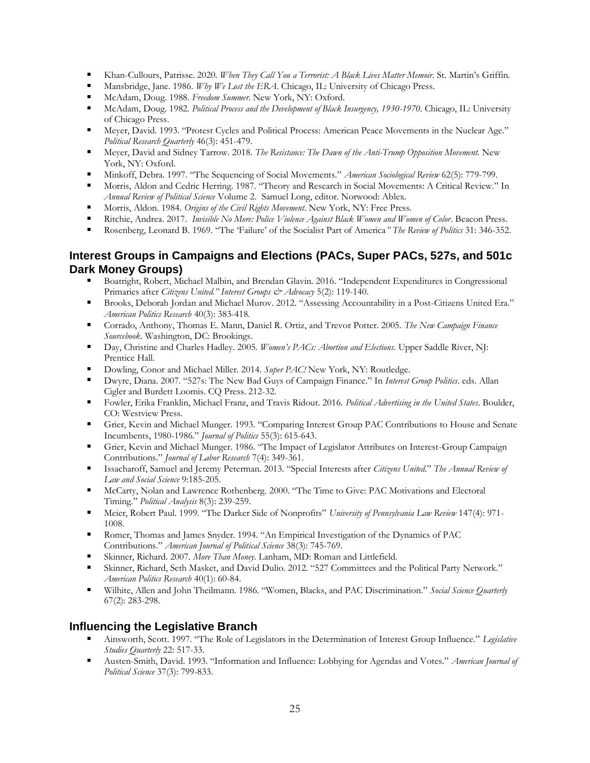- Khan-Cullours, Patrisse. 2020. *When They Call You a Terrorist: A Black Lives Matter Memoir*. St. Martin's Griffin.
- Mansbridge, Jane. 1986. *Why We Lost the ERA*. Chicago, IL: University of Chicago Press.
- McAdam, Doug. 1988. *Freedom Summer*. New York, NY: Oxford.
- $\blacksquare$ McAdam, Doug. 1982. *Political Process and the Development of Black Insurgency, 1930-1970*. Chicago, IL: University of Chicago Press.
- Meyer, David. 1993. "Protest Cycles and Political Process: American Peace Movements in the Nuclear Age." *Political Research Quarterly* 46(3): 451-479.
- Meyer, David and Sidney Tarrow. 2018. *The Resistance: The Dawn of the Anti-Trump Opposition Movement.* New  $\blacksquare$ York, NY: Oxford.
- Minkoff, Debra. 1997. "The Sequencing of Social Movements." *American Sociological Review* 62(5): 779-799.
- Morris, Aldon and Cedric Herring. 1987. "Theory and Research in Social Movements: A Critical Review." In  $\blacksquare$ *Annual Review of Political Science* Volume 2. Samuel Long, editor. Norwood: Ablex.
- Morris, Aldon. 1984. *Origins of the Civil Rights Movement*. New York, NY: Free Press.
- Ritchie, Andrea. 2017. *Invisible No More: Police Violence Against Black Women and Women of Color*. Beacon Press.
- $\blacksquare$ Rosenberg, Leonard B. 1969. "The 'Failure' of the Socialist Part of America*" The Review of Politics* 31: 346-352.

#### **Interest Groups in Campaigns and Elections (PACs, Super PACs, 527s, and 501c Dark Money Groups)**

- Boatright, Robert, Michael Malbin, and Brendan Glavin. 2016. "Independent Expenditures in Congressional Primaries after *Citizens United." Interest Groups & Advocacy* 5(2): 119-140.
- Brooks, Deborah Jordan and Michael Murov. 2012. "Assessing Accountability in a Post-Citizens United Era." *American Politics Research* 40(3): 383-418.
- Corrado, Anthony, Thomas E. Mann, Daniel R. Ortiz, and Trevor Potter. 2005. *The New Campaign Finance Sourcebook*. Washington, DC: Brookings.
- Day, Christine and Charles Hadley. 2005. *Women's PACs: Abortion and Elections*. Upper Saddle River, NJ: Prentice Hall.
- Dowling, Conor and Michael Miller. 2014. *Super PAC!* New York, NY: Routledge.
- Dwyre, Diana. 2007. "527s: The New Bad Guys of Campaign Finance." In *Interest Group Politics*. eds. Allan Cigler and Burdett Loomis. CQ Press. 212-32.
- Fowler, Erika Franklin, Michael Franz, and Travis Ridout. 2016. *Political Advertising in the United States*. Boulder, CO: Westview Press.
- Grier, Kevin and Michael Munger. 1993. "Comparing Interest Group PAC Contributions to House and Senate Incumbents, 1980-1986." *Journal of Politics* 55(3): 615-643.
- Grier, Kevin and Michael Munger. 1986. "The Impact of Legislator Attributes on Interest-Group Campaign Contributions." *Journal of Labor Research* 7(4): 349-361.
- Issacharoff, Samuel and Jeremy Peterman. 2013. "Special Interests after *Citizens United*." *The Annual Review of Law and Social Science* 9:185-205.
- McCarty, Nolan and Lawrence Rothenberg. 2000. "The Time to Give: PAC Motivations and Electoral Timing." *Political Analysis* 8(3): 239-259.
- Meier, Robert Paul. 1999. "The Darker Side of Nonprofits" *University of Pennsylvania Law Review* 147(4): 971- 1008.
- Romer, Thomas and James Snyder. 1994. "An Empirical Investigation of the Dynamics of PAC Contributions." *American Journal of Political Science* 38(3): 745-769.
- Skinner, Richard. 2007. *More Than Money*. Lanham, MD: Roman and Littlefield.
- Skinner, Richard, Seth Masket, and David Dulio. 2012. "527 Committees and the Political Party Network." *American Politics Research* 40(1): 60-84.
- Wilhite, Allen and John Theilmann. 1986. "Women, Blacks, and PAC Discrimination." *Social Science Quarterly*  67(2): 283-298.

#### **Influencing the Legislative Branch**

- Ainsworth, Scott. 1997. "The Role of Legislators in the Determination of Interest Group Influence." *Legislative Studies Quarterly* 22: 517-33.
- Austen-Smith, David. 1993. "Information and Influence: Lobbying for Agendas and Votes." *American Journal of Political Science* 37(3): 799-833.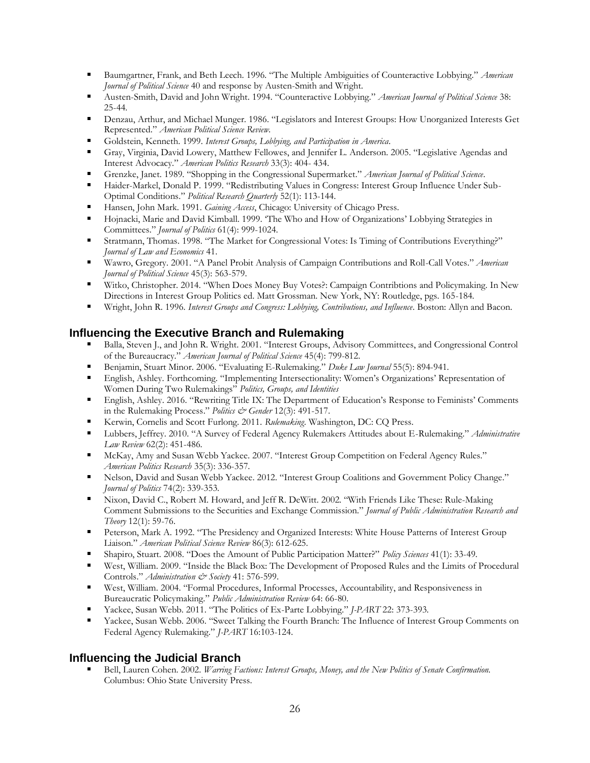- Baumgartner, Frank, and Beth Leech. 1996. "The Multiple Ambiguities of Counteractive Lobbying." *American Journal of Political Science* 40 and response by Austen-Smith and Wright.
- Austen-Smith, David and John Wright. 1994. "Counteractive Lobbying." *American Journal of Political Science* 38: 25-44.
- Denzau, Arthur, and Michael Munger. 1986. "Legislators and Interest Groups: How Unorganized Interests Get Represented." *American Political Science Review.*
- Goldstein, Kenneth. 1999. *Interest Groups, Lobbying, and Participation in America*.
- Gray, Virginia, David Lowery, Matthew Fellowes, and Jennifer L. Anderson. 2005. "Legislative Agendas and Interest Advocacy." *American Politics Research* 33(3): 404- 434.
- Grenzke, Janet. 1989. "Shopping in the Congressional Supermarket." *American Journal of Political Science*.
- Haider-Markel, Donald P. 1999. "Redistributing Values in Congress: Interest Group Influence Under Sub- $\blacksquare$ Optimal Conditions." *Political Research Quarterly* 52(1): 113-144.
- Hansen, John Mark. 1991. *Gaining Access*, Chicago: University of Chicago Press.
- Hojnacki, Marie and David Kimball. 1999. 'The Who and How of Organizations' Lobbying Strategies in a sa Committees." *Journal of Politics* 61(4): 999-1024.
- Stratmann, Thomas. 1998. "The Market for Congressional Votes: Is Timing of Contributions Everything?"  $\blacksquare$ *Journal of Law and Economics* 41.
- Wawro, Gregory. 2001. "A Panel Probit Analysis of Campaign Contributions and Roll-Call Votes." *American Journal of Political Science* 45(3): 563-579.
- $\blacksquare$ Witko, Christopher. 2014. "When Does Money Buy Votes?: Campaign Contribtions and Policymaking. In New Directions in Interest Group Politics ed. Matt Grossman. New York, NY: Routledge, pgs. 165-184.
- Wright, John R. 1996. *Interest Groups and Congress: Lobbying, Contributions, and Influence*. Boston: Allyn and Bacon.  $\blacksquare$

#### **Influencing the Executive Branch and Rulemaking**

- Balla, Steven J., and John R. Wright. 2001. "Interest Groups, Advisory Committees, and Congressional Control of the Bureaucracy." *American Journal of Political Science* 45(4): 799-812.
- Benjamin, Stuart Minor. 2006. "Evaluating E-Rulemaking." *Duke Law Journal* 55(5): 894-941.
- English, Ashley. Forthcoming. "Implementing Intersectionality: Women's Organizations' Representation of  $\blacksquare$ Women During Two Rulemakings" *Politics, Groups, and Identities*
- English, Ashley. 2016. "Rewriting Title IX: The Department of Education's Response to Feminists' Comments in the Rulemaking Process." *Politics & Gender* 12(3): 491-517.
- Kerwin, Cornelis and Scott Furlong. 2011. *Rulemaking*. Washington, DC: CQ Press.
- Lubbers, Jeffrey. 2010. "A Survey of Federal Agency Rulemakers Attitudes about E-Rulemaking." *Administrative Law Review* 62(2): 451-486.
- McKay, Amy and Susan Webb Yackee. 2007. "Interest Group Competition on Federal Agency Rules." *American Politics Research* 35(3): 336-357.
- Nelson, David and Susan Webb Yackee. 2012. "Interest Group Coalitions and Government Policy Change." *Journal of Politics* 74(2): 339-353.
- Nixon, David C., Robert M. Howard, and Jeff R. DeWitt. 2002. "With Friends Like These: Rule-Making Comment Submissions to the Securities and Exchange Commission." *Journal of Public Administration Research and Theory* 12(1): 59-76.
- **Peterson, Mark A. 1992. "The Presidency and Organized Interests: White House Patterns of Interest Group** Liaison." *American Political Science Review* 86(3): 612-625.
- Shapiro, Stuart. 2008. "Does the Amount of Public Participation Matter?" *Policy Sciences* 41(1): 33-49.
- West, William. 2009. "Inside the Black Box: The Development of Proposed Rules and the Limits of Procedural Controls." *Administration & Society* 41: 576-599.
- $\blacksquare$ West, William. 2004. "Formal Procedures, Informal Processes, Accountability, and Responsiveness in Bureaucratic Policymaking." *Public Administration Review* 64: 66-80.
- Yackee, Susan Webb. 2011. "The Politics of Ex-Parte Lobbying." *J-PART* 22: 373-393.
- Yackee, Susan Webb. 2006. "Sweet Talking the Fourth Branch: The Influence of Interest Group Comments on Federal Agency Rulemaking." *J-PART* 16:103-124.

#### **Influencing the Judicial Branch**

Bell, Lauren Cohen. 2002. *Warring Factions: Interest Groups, Money, and the New Politics of Senate Confirmation.*  Columbus: Ohio State University Press.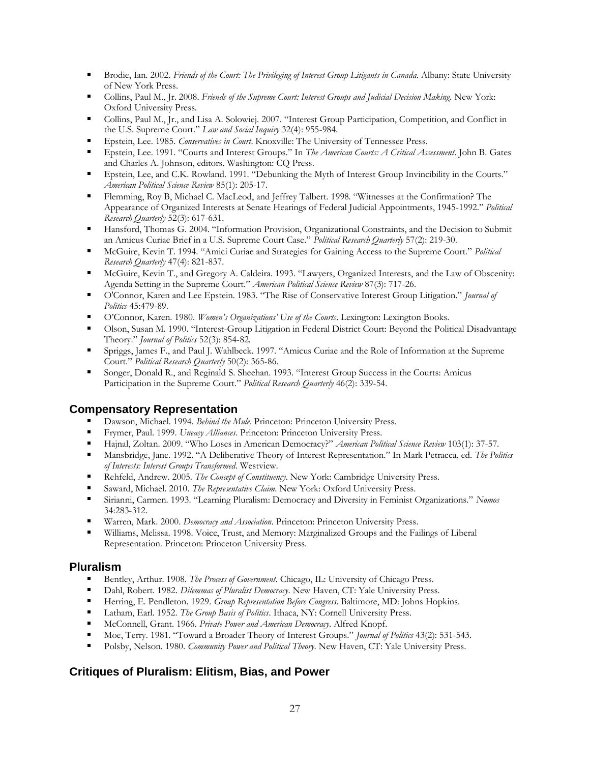- Brodie, Ian. 2002. *Friends of the Court: The Privileging of Interest Group Litigants in Canada*. Albany: State University of New York Press.
- Collins, Paul M., Jr. 2008. *Friends of the Supreme Court: Interest Groups and Judicial Decision Making.* New York: Oxford University Press.
- Collins, Paul M., Jr., and Lisa A. Solowiej. 2007. "Interest Group Participation, Competition, and Conflict in the U.S. Supreme Court." *Law and Social Inquiry* 32(4): 955-984.
- Epstein, Lee. 1985. *Conservatives in Court*. Knoxville: The University of Tennessee Press.
- Epstein, Lee. 1991. "Courts and Interest Groups." In *The American Courts: A Critical Assessment*. John B. Gates and Charles A. Johnson, editors. Washington: CQ Press.
- $\blacksquare$ Epstein, Lee, and C.K. Rowland. 1991. "Debunking the Myth of Interest Group Invincibility in the Courts." *American Political Science Review* 85(1): 205-17.
- Flemming, Roy B, Michael C. MacLeod, and Jeffrey Talbert. 1998. "Witnesses at the Confirmation? The Appearance of Organized Interests at Senate Hearings of Federal Judicial Appointments, 1945-1992." *Political Research Quarterly* 52(3): 617-631.
- Hansford, Thomas G. 2004. "Information Provision, Organizational Constraints, and the Decision to Submit an Amicus Curiae Brief in a U.S. Supreme Court Case." *Political Research Quarterly* 57(2): 219-30.
- McGuire, Kevin T. 1994. "Amici Curiae and Strategies for Gaining Access to the Supreme Court." *Political Research Quarterly* 47(4): 821-837.
- McGuire, Kevin T., and Gregory A. Caldeira. 1993. "Lawyers, Organized Interests, and the Law of Obscenity: Agenda Setting in the Supreme Court." *American Political Science Review* 87(3): 717-26.
- $\blacksquare$ O'Connor, Karen and Lee Epstein. 1983. "The Rise of Conservative Interest Group Litigation." *Journal of Politics* 45:479-89.
- O'Connor, Karen. 1980. *Women's Organizations' Use of the Courts*. Lexington: Lexington Books.
- Olson, Susan M. 1990. "Interest-Group Litigation in Federal District Court: Beyond the Political Disadvantage Theory." *Journal of Politics* 52(3): 854-82.
- Spriggs, James F., and Paul J. Wahlbeck. 1997. "Amicus Curiae and the Role of Information at the Supreme Court." *Political Research Quarterly* 50(2): 365-86.
- Songer, Donald R., and Reginald S. Sheehan. 1993. "Interest Group Success in the Courts: Amicus Participation in the Supreme Court." *Political Research Quarterly* 46(2): 339-54.

#### **Compensatory Representation**

- Dawson, Michael. 1994. *Behind the Mule*. Princeton: Princeton University Press.
- Frymer, Paul. 1999. *Uneasy Alliances*. Princeton: Princeton University Press.
- Hajnal, Zoltan. 2009. "Who Loses in American Democracy?" *American Political Science Review* 103(1): 37-57.
- $\blacksquare$ Mansbridge, Jane. 1992. "A Deliberative Theory of Interest Representation." In Mark Petracca, ed. *The Politics of Interests: Interest Groups Transformed*. Westview.
- $\blacksquare$ Rehfeld, Andrew. 2005. *The Concept of Constituency*. New York: Cambridge University Press.
- Saward, Michael. 2010. *The Representative Claim*. New York: Oxford University Press.
- Sirianni, Carmen. 1993. "Learning Pluralism: Democracy and Diversity in Feminist Organizations." *Nomos*   $\blacksquare$ 34:283-312.
- Warren, Mark. 2000. *Democracy and Association*. Princeton: Princeton University Press.
- Williams, Melissa. 1998. Voice, Trust, and Memory: Marginalized Groups and the Failings of Liberal Representation. Princeton: Princeton University Press.

#### **Pluralism**

- Bentley, Arthur. 1908. *The Process of Government*. Chicago, IL: University of Chicago Press.
- $\blacksquare$ Dahl, Robert. 1982. *Dilemmas of Pluralist Democracy*. New Haven, CT: Yale University Press.
- Herring, E. Pendleton. 1929. *Group Representation Before Congress*. Baltimore, MD: Johns Hopkins.  $\blacksquare$
- Latham, Earl. 1952. *The Group Basis of Politics*. Ithaca, NY: Cornell University Press.
- McConnell, Grant. 1966. *Private Power and American Democracy*. Alfred Knopf.
- Moe, Terry. 1981. "Toward a Broader Theory of Interest Groups." *Journal of Politics* 43(2): 531-543.
- Polsby, Nelson. 1980. *Community Power and Political Theory*. New Haven, CT: Yale University Press.

#### **Critiques of Pluralism: Elitism, Bias, and Power**